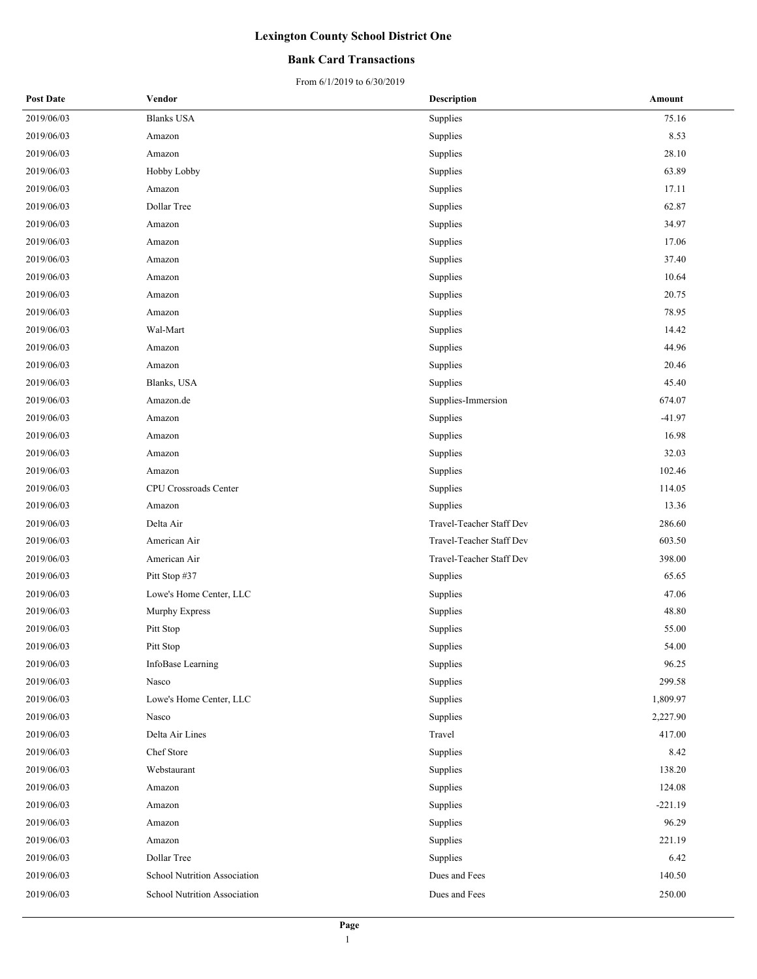### **Bank Card Transactions**

| <b>Post Date</b> | Vendor                       | <b>Description</b>       | Amount    |
|------------------|------------------------------|--------------------------|-----------|
| 2019/06/03       | <b>Blanks USA</b>            | Supplies                 | 75.16     |
| 2019/06/03       | Amazon                       | Supplies                 | 8.53      |
| 2019/06/03       | Amazon                       | Supplies                 | 28.10     |
| 2019/06/03       | Hobby Lobby                  | Supplies                 | 63.89     |
| 2019/06/03       | Amazon                       | Supplies                 | 17.11     |
| 2019/06/03       | Dollar Tree                  | Supplies                 | 62.87     |
| 2019/06/03       | Amazon                       | Supplies                 | 34.97     |
| 2019/06/03       | Amazon                       | Supplies                 | 17.06     |
| 2019/06/03       | Amazon                       | Supplies                 | 37.40     |
| 2019/06/03       | Amazon                       | Supplies                 | 10.64     |
| 2019/06/03       | Amazon                       | Supplies                 | 20.75     |
| 2019/06/03       | Amazon                       | Supplies                 | 78.95     |
| 2019/06/03       | Wal-Mart                     | Supplies                 | 14.42     |
| 2019/06/03       | Amazon                       | Supplies                 | 44.96     |
| 2019/06/03       | Amazon                       | Supplies                 | 20.46     |
| 2019/06/03       | Blanks, USA                  | Supplies                 | 45.40     |
| 2019/06/03       | Amazon.de                    | Supplies-Immersion       | 674.07    |
| 2019/06/03       | Amazon                       | Supplies                 | $-41.97$  |
| 2019/06/03       | Amazon                       | Supplies                 | 16.98     |
| 2019/06/03       | Amazon                       | Supplies                 | 32.03     |
| 2019/06/03       | Amazon                       | Supplies                 | 102.46    |
| 2019/06/03       | CPU Crossroads Center        | Supplies                 | 114.05    |
| 2019/06/03       | Amazon                       | Supplies                 | 13.36     |
| 2019/06/03       | Delta Air                    | Travel-Teacher Staff Dev | 286.60    |
| 2019/06/03       | American Air                 | Travel-Teacher Staff Dev | 603.50    |
| 2019/06/03       | American Air                 | Travel-Teacher Staff Dev | 398.00    |
| 2019/06/03       | Pitt Stop #37                | Supplies                 | 65.65     |
| 2019/06/03       | Lowe's Home Center, LLC      | Supplies                 | 47.06     |
| 2019/06/03       | Murphy Express               | Supplies                 | 48.80     |
| 2019/06/03       | Pitt Stop                    | Supplies                 | 55.00     |
| 2019/06/03       | Pitt Stop                    | Supplies                 | 54.00     |
| 2019/06/03       | InfoBase Learning            | Supplies                 | 96.25     |
| 2019/06/03       | Nasco                        | Supplies                 | 299.58    |
| 2019/06/03       | Lowe's Home Center, LLC      | Supplies                 | 1,809.97  |
| 2019/06/03       | Nasco                        | Supplies                 | 2,227.90  |
| 2019/06/03       | Delta Air Lines              | Travel                   | 417.00    |
| 2019/06/03       | Chef Store                   | Supplies                 | 8.42      |
| 2019/06/03       | Webstaurant                  | Supplies                 | 138.20    |
| 2019/06/03       | Amazon                       | Supplies                 | 124.08    |
| 2019/06/03       | Amazon                       | Supplies                 | $-221.19$ |
| 2019/06/03       | Amazon                       | Supplies                 | 96.29     |
| 2019/06/03       | Amazon                       | Supplies                 | 221.19    |
| 2019/06/03       | Dollar Tree                  | Supplies                 | 6.42      |
| 2019/06/03       | School Nutrition Association | Dues and Fees            | 140.50    |
| 2019/06/03       | School Nutrition Association | Dues and Fees            | 250.00    |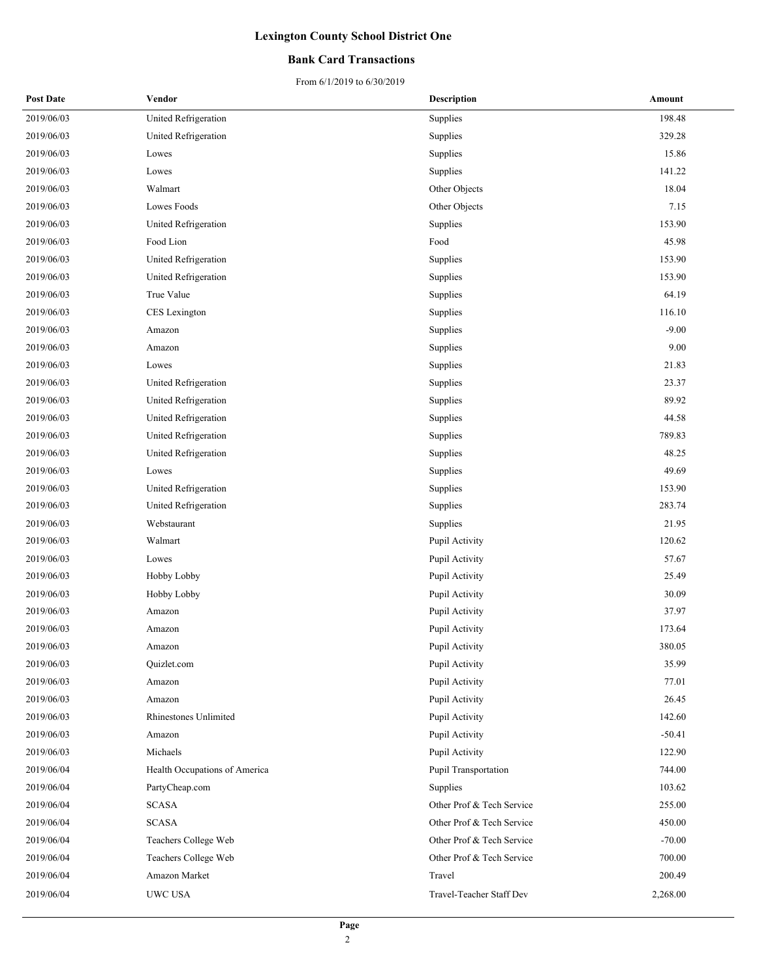### **Bank Card Transactions**

| <b>Post Date</b> | Vendor                        | <b>Description</b>        | Amount   |
|------------------|-------------------------------|---------------------------|----------|
| 2019/06/03       | United Refrigeration          | Supplies                  | 198.48   |
| 2019/06/03       | United Refrigeration          | Supplies                  | 329.28   |
| 2019/06/03       | Lowes                         | Supplies                  | 15.86    |
| 2019/06/03       | Lowes                         | Supplies                  | 141.22   |
| 2019/06/03       | Walmart                       | Other Objects             | 18.04    |
| 2019/06/03       | Lowes Foods                   | Other Objects             | 7.15     |
| 2019/06/03       | United Refrigeration          | Supplies                  | 153.90   |
| 2019/06/03       | Food Lion                     | Food                      | 45.98    |
| 2019/06/03       | United Refrigeration          | Supplies                  | 153.90   |
| 2019/06/03       | United Refrigeration          | Supplies                  | 153.90   |
| 2019/06/03       | True Value                    | Supplies                  | 64.19    |
| 2019/06/03       | CES Lexington                 | Supplies                  | 116.10   |
| 2019/06/03       | Amazon                        | Supplies                  | $-9.00$  |
| 2019/06/03       | Amazon                        | Supplies                  | 9.00     |
| 2019/06/03       | Lowes                         | Supplies                  | 21.83    |
| 2019/06/03       | United Refrigeration          | Supplies                  | 23.37    |
| 2019/06/03       | United Refrigeration          | Supplies                  | 89.92    |
| 2019/06/03       | United Refrigeration          | Supplies                  | 44.58    |
| 2019/06/03       | United Refrigeration          | Supplies                  | 789.83   |
| 2019/06/03       | United Refrigeration          | Supplies                  | 48.25    |
| 2019/06/03       | Lowes                         | Supplies                  | 49.69    |
| 2019/06/03       | United Refrigeration          | Supplies                  | 153.90   |
| 2019/06/03       | United Refrigeration          | Supplies                  | 283.74   |
| 2019/06/03       | Webstaurant                   | Supplies                  | 21.95    |
| 2019/06/03       | Walmart                       | Pupil Activity            | 120.62   |
| 2019/06/03       | Lowes                         | Pupil Activity            | 57.67    |
| 2019/06/03       | Hobby Lobby                   | Pupil Activity            | 25.49    |
| 2019/06/03       | Hobby Lobby                   | Pupil Activity            | 30.09    |
| 2019/06/03       | Amazon                        | Pupil Activity            | 37.97    |
| 2019/06/03       | Amazon                        | Pupil Activity            | 173.64   |
| 2019/06/03       | Amazon                        | Pupil Activity            | 380.05   |
| 2019/06/03       | Quizlet.com                   | Pupil Activity            | 35.99    |
| 2019/06/03       | Amazon                        | Pupil Activity            | 77.01    |
| 2019/06/03       | Amazon                        | Pupil Activity            | 26.45    |
| 2019/06/03       | Rhinestones Unlimited         | Pupil Activity            | 142.60   |
| 2019/06/03       | Amazon                        | Pupil Activity            | $-50.41$ |
| 2019/06/03       | Michaels                      | Pupil Activity            | 122.90   |
| 2019/06/04       | Health Occupations of America | Pupil Transportation      | 744.00   |
| 2019/06/04       | PartyCheap.com                | Supplies                  | 103.62   |
| 2019/06/04       | <b>SCASA</b>                  | Other Prof & Tech Service | 255.00   |
| 2019/06/04       | <b>SCASA</b>                  | Other Prof & Tech Service | 450.00   |
| 2019/06/04       | Teachers College Web          | Other Prof & Tech Service | $-70.00$ |
| 2019/06/04       | Teachers College Web          | Other Prof & Tech Service | 700.00   |
| 2019/06/04       | Amazon Market                 | Travel                    | 200.49   |
| 2019/06/04       | UWC USA                       | Travel-Teacher Staff Dev  | 2,268.00 |
|                  |                               |                           |          |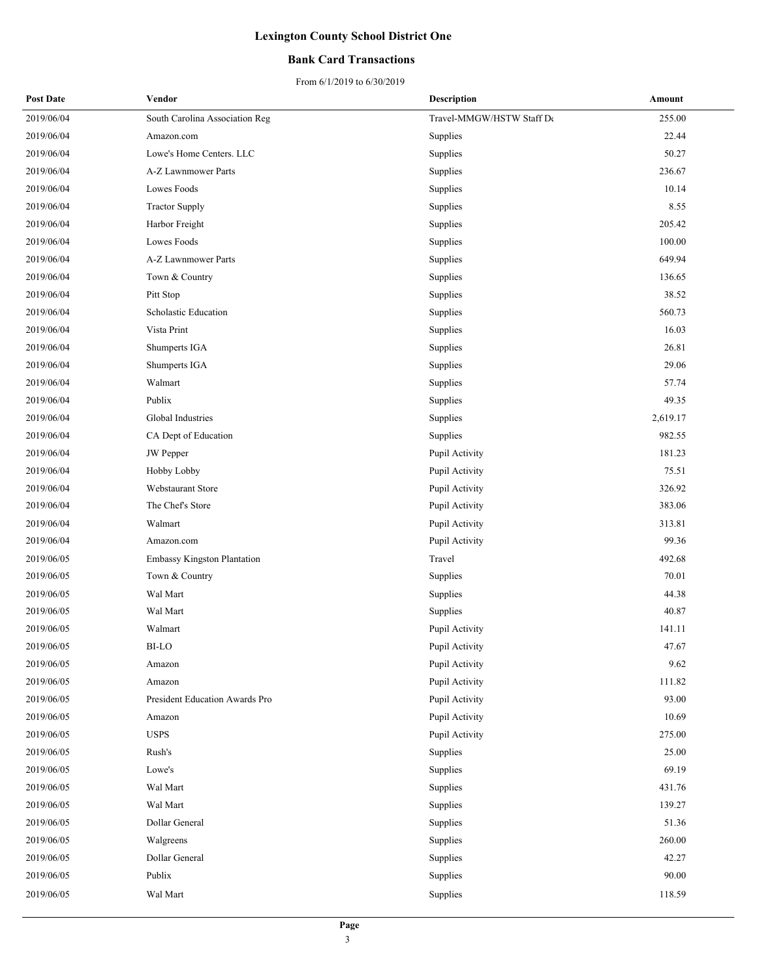### **Bank Card Transactions**

| <b>Post Date</b> | Vendor                             | <b>Description</b>        | Amount   |
|------------------|------------------------------------|---------------------------|----------|
| 2019/06/04       | South Carolina Association Reg     | Travel-MMGW/HSTW Staff De | 255.00   |
| 2019/06/04       | Amazon.com                         | Supplies                  | 22.44    |
| 2019/06/04       | Lowe's Home Centers. LLC           | Supplies                  | 50.27    |
| 2019/06/04       | A-Z Lawnmower Parts                | Supplies                  | 236.67   |
| 2019/06/04       | Lowes Foods                        | Supplies                  | 10.14    |
| 2019/06/04       | <b>Tractor Supply</b>              | Supplies                  | 8.55     |
| 2019/06/04       | Harbor Freight                     | Supplies                  | 205.42   |
| 2019/06/04       | Lowes Foods                        | Supplies                  | 100.00   |
| 2019/06/04       | A-Z Lawnmower Parts                | Supplies                  | 649.94   |
| 2019/06/04       | Town & Country                     | Supplies                  | 136.65   |
| 2019/06/04       | Pitt Stop                          | Supplies                  | 38.52    |
| 2019/06/04       | Scholastic Education               | Supplies                  | 560.73   |
| 2019/06/04       | Vista Print                        | Supplies                  | 16.03    |
| 2019/06/04       | Shumperts IGA                      | Supplies                  | 26.81    |
| 2019/06/04       | Shumperts IGA                      | Supplies                  | 29.06    |
| 2019/06/04       | Walmart                            | Supplies                  | 57.74    |
| 2019/06/04       | Publix                             | Supplies                  | 49.35    |
| 2019/06/04       | Global Industries                  | Supplies                  | 2,619.17 |
| 2019/06/04       | CA Dept of Education               | Supplies                  | 982.55   |
| 2019/06/04       | <b>JW</b> Pepper                   | Pupil Activity            | 181.23   |
| 2019/06/04       | Hobby Lobby                        | Pupil Activity            | 75.51    |
| 2019/06/04       | Webstaurant Store                  | Pupil Activity            | 326.92   |
| 2019/06/04       | The Chef's Store                   | Pupil Activity            | 383.06   |
| 2019/06/04       | Walmart                            | Pupil Activity            | 313.81   |
| 2019/06/04       | Amazon.com                         | Pupil Activity            | 99.36    |
| 2019/06/05       | <b>Embassy Kingston Plantation</b> | Travel                    | 492.68   |
| 2019/06/05       | Town & Country                     | Supplies                  | 70.01    |
| 2019/06/05       | Wal Mart                           | Supplies                  | 44.38    |
| 2019/06/05       | Wal Mart                           | Supplies                  | 40.87    |
| 2019/06/05       | Walmart                            | Pupil Activity            | 141.11   |
| 2019/06/05       | BI-LO                              | Pupil Activity            | 47.67    |
| 2019/06/05       | Amazon                             | Pupil Activity            | 9.62     |
| 2019/06/05       | Amazon                             | Pupil Activity            | 111.82   |
| 2019/06/05       | President Education Awards Pro     | Pupil Activity            | 93.00    |
| 2019/06/05       | Amazon                             | Pupil Activity            | 10.69    |
| 2019/06/05       | <b>USPS</b>                        | Pupil Activity            | 275.00   |
| 2019/06/05       | Rush's                             | Supplies                  | 25.00    |
| 2019/06/05       | Lowe's                             | Supplies                  | 69.19    |
| 2019/06/05       | Wal Mart                           | Supplies                  | 431.76   |
| 2019/06/05       | Wal Mart                           | Supplies                  | 139.27   |
| 2019/06/05       | Dollar General                     | Supplies                  | 51.36    |
| 2019/06/05       | Walgreens                          | Supplies                  | 260.00   |
| 2019/06/05       | Dollar General                     | Supplies                  | 42.27    |
| 2019/06/05       | Publix                             | Supplies                  | 90.00    |
| 2019/06/05       | Wal Mart                           | Supplies                  | 118.59   |
|                  |                                    |                           |          |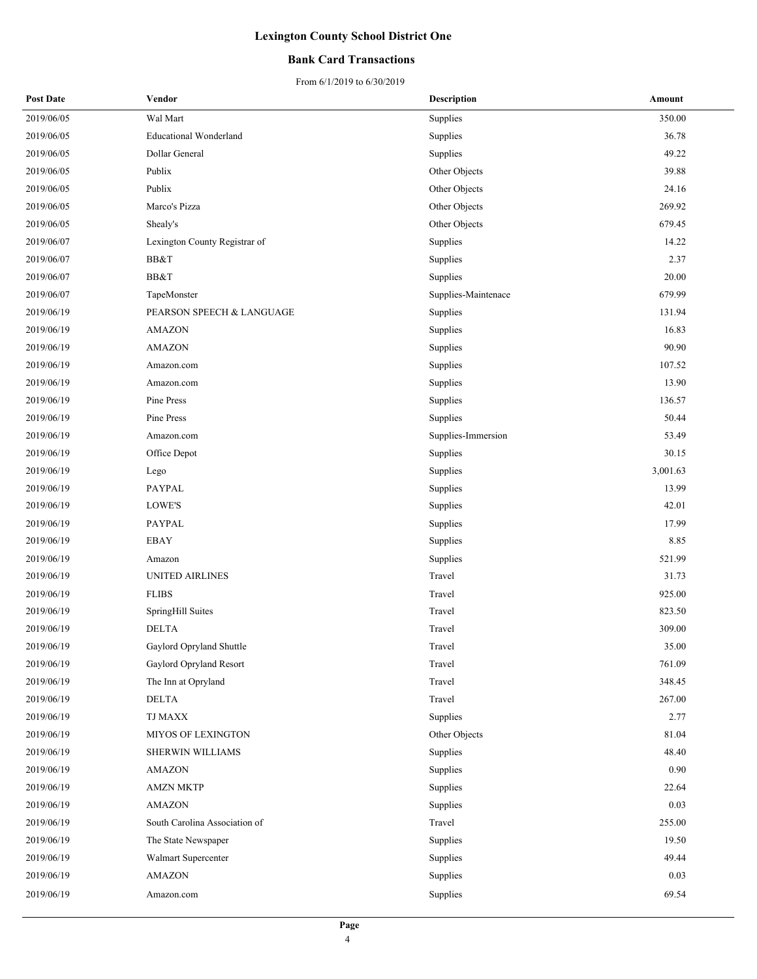### **Bank Card Transactions**

| <b>Post Date</b> | Vendor                        | <b>Description</b>  | Amount   |
|------------------|-------------------------------|---------------------|----------|
| 2019/06/05       | Wal Mart                      | Supplies            | 350.00   |
| 2019/06/05       | <b>Educational Wonderland</b> | Supplies            | 36.78    |
| 2019/06/05       | Dollar General                | Supplies            | 49.22    |
| 2019/06/05       | Publix                        | Other Objects       | 39.88    |
| 2019/06/05       | Publix                        | Other Objects       | 24.16    |
| 2019/06/05       | Marco's Pizza                 | Other Objects       | 269.92   |
| 2019/06/05       | Shealy's                      | Other Objects       | 679.45   |
| 2019/06/07       | Lexington County Registrar of | Supplies            | 14.22    |
| 2019/06/07       | BB&T                          | Supplies            | 2.37     |
| 2019/06/07       | BB&T                          | Supplies            | 20.00    |
| 2019/06/07       | TapeMonster                   | Supplies-Maintenace | 679.99   |
| 2019/06/19       | PEARSON SPEECH & LANGUAGE     | Supplies            | 131.94   |
| 2019/06/19       | <b>AMAZON</b>                 | Supplies            | 16.83    |
| 2019/06/19       | <b>AMAZON</b>                 | Supplies            | 90.90    |
| 2019/06/19       | Amazon.com                    | Supplies            | 107.52   |
| 2019/06/19       | Amazon.com                    | Supplies            | 13.90    |
| 2019/06/19       | Pine Press                    | Supplies            | 136.57   |
| 2019/06/19       | Pine Press                    | Supplies            | 50.44    |
| 2019/06/19       | Amazon.com                    | Supplies-Immersion  | 53.49    |
| 2019/06/19       | Office Depot                  | Supplies            | 30.15    |
| 2019/06/19       | Lego                          | Supplies            | 3,001.63 |
| 2019/06/19       | PAYPAL                        | Supplies            | 13.99    |
| 2019/06/19       | LOWE'S                        | Supplies            | 42.01    |
| 2019/06/19       | PAYPAL                        | Supplies            | 17.99    |
| 2019/06/19       | <b>EBAY</b>                   | Supplies            | 8.85     |
| 2019/06/19       | Amazon                        | Supplies            | 521.99   |
| 2019/06/19       | UNITED AIRLINES               | Travel              | 31.73    |
| 2019/06/19       | <b>FLIBS</b>                  | Travel              | 925.00   |
| 2019/06/19       | SpringHill Suites             | Travel              | 823.50   |
| 2019/06/19       | <b>DELTA</b>                  | Travel              | 309.00   |
| 2019/06/19       | Gaylord Opryland Shuttle      | Travel              | 35.00    |
| 2019/06/19       | Gaylord Opryland Resort       | Travel              | 761.09   |
| 2019/06/19       | The Inn at Opryland           | Travel              | 348.45   |
| 2019/06/19       | DELTA                         | Travel              | 267.00   |
| 2019/06/19       | TJ MAXX                       | Supplies            | 2.77     |
| 2019/06/19       | <b>MIYOS OF LEXINGTON</b>     | Other Objects       | 81.04    |
| 2019/06/19       | SHERWIN WILLIAMS              | Supplies            | 48.40    |
| 2019/06/19       | <b>AMAZON</b>                 | Supplies            | 0.90     |
| 2019/06/19       | <b>AMZN MKTP</b>              | Supplies            | 22.64    |
| 2019/06/19       | <b>AMAZON</b>                 | Supplies            | 0.03     |
| 2019/06/19       | South Carolina Association of | Travel              | 255.00   |
| 2019/06/19       | The State Newspaper           | Supplies            | 19.50    |
| 2019/06/19       | Walmart Supercenter           | Supplies            | 49.44    |
| 2019/06/19       | <b>AMAZON</b>                 | Supplies            | 0.03     |
| 2019/06/19       | Amazon.com                    | Supplies            | 69.54    |
|                  |                               |                     |          |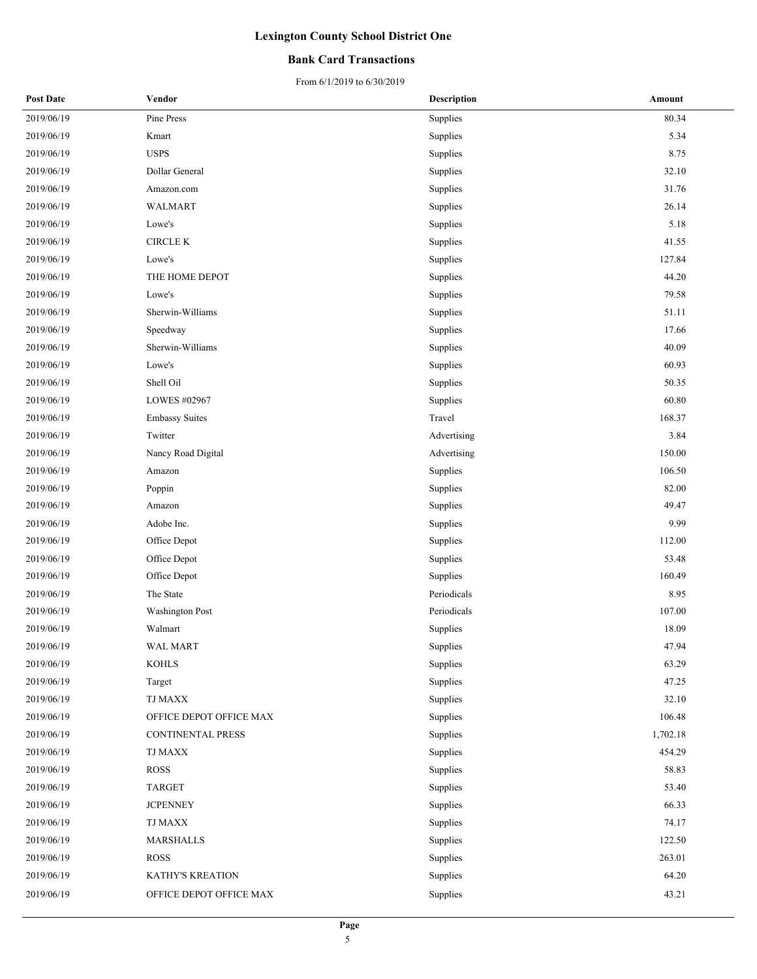### **Bank Card Transactions**

| <b>Post Date</b> | Vendor                   | <b>Description</b> | Amount   |
|------------------|--------------------------|--------------------|----------|
| 2019/06/19       | Pine Press               | Supplies           | 80.34    |
| 2019/06/19       | Kmart                    | Supplies           | 5.34     |
| 2019/06/19       | <b>USPS</b>              | Supplies           | 8.75     |
| 2019/06/19       | Dollar General           | Supplies           | 32.10    |
| 2019/06/19       | Amazon.com               | Supplies           | 31.76    |
| 2019/06/19       | WALMART                  | Supplies           | 26.14    |
| 2019/06/19       | Lowe's                   | Supplies           | 5.18     |
| 2019/06/19       | <b>CIRCLE K</b>          | Supplies           | 41.55    |
| 2019/06/19       | Lowe's                   | Supplies           | 127.84   |
| 2019/06/19       | THE HOME DEPOT           | Supplies           | 44.20    |
| 2019/06/19       | Lowe's                   | Supplies           | 79.58    |
| 2019/06/19       | Sherwin-Williams         | Supplies           | 51.11    |
| 2019/06/19       | Speedway                 | Supplies           | 17.66    |
| 2019/06/19       | Sherwin-Williams         | Supplies           | 40.09    |
| 2019/06/19       | Lowe's                   | Supplies           | 60.93    |
| 2019/06/19       | Shell Oil                | Supplies           | 50.35    |
| 2019/06/19       | LOWES #02967             | Supplies           | 60.80    |
| 2019/06/19       | <b>Embassy Suites</b>    | Travel             | 168.37   |
| 2019/06/19       | Twitter                  | Advertising        | 3.84     |
| 2019/06/19       | Nancy Road Digital       | Advertising        | 150.00   |
| 2019/06/19       | Amazon                   | Supplies           | 106.50   |
| 2019/06/19       | Poppin                   | Supplies           | 82.00    |
| 2019/06/19       | Amazon                   | Supplies           | 49.47    |
| 2019/06/19       | Adobe Inc.               | Supplies           | 9.99     |
| 2019/06/19       | Office Depot             | Supplies           | 112.00   |
| 2019/06/19       | Office Depot             | Supplies           | 53.48    |
| 2019/06/19       | Office Depot             | Supplies           | 160.49   |
| 2019/06/19       | The State                | Periodicals        | 8.95     |
| 2019/06/19       | <b>Washington Post</b>   | Periodicals        | 107.00   |
| 2019/06/19       | Walmart                  | Supplies           | 18.09    |
| 2019/06/19       | <b>WAL MART</b>          | Supplies           | 47.94    |
| 2019/06/19       | <b>KOHLS</b>             | Supplies           | 63.29    |
| 2019/06/19       | Target                   | Supplies           | 47.25    |
| 2019/06/19       | <b>TJ MAXX</b>           | Supplies           | 32.10    |
| 2019/06/19       | OFFICE DEPOT OFFICE MAX  | Supplies           | 106.48   |
| 2019/06/19       | <b>CONTINENTAL PRESS</b> | Supplies           | 1,702.18 |
| 2019/06/19       | TJ MAXX                  | Supplies           | 454.29   |
| 2019/06/19       | ROSS                     | Supplies           | 58.83    |
| 2019/06/19       | <b>TARGET</b>            | Supplies           | 53.40    |
| 2019/06/19       | <b>JCPENNEY</b>          | Supplies           | 66.33    |
| 2019/06/19       | TJ MAXX                  | Supplies           | 74.17    |
| 2019/06/19       | MARSHALLS                | Supplies           | 122.50   |
| 2019/06/19       | ROSS                     | Supplies           | 263.01   |
| 2019/06/19       | KATHY'S KREATION         | Supplies           | 64.20    |
| 2019/06/19       | OFFICE DEPOT OFFICE MAX  | Supplies           | 43.21    |
|                  |                          |                    |          |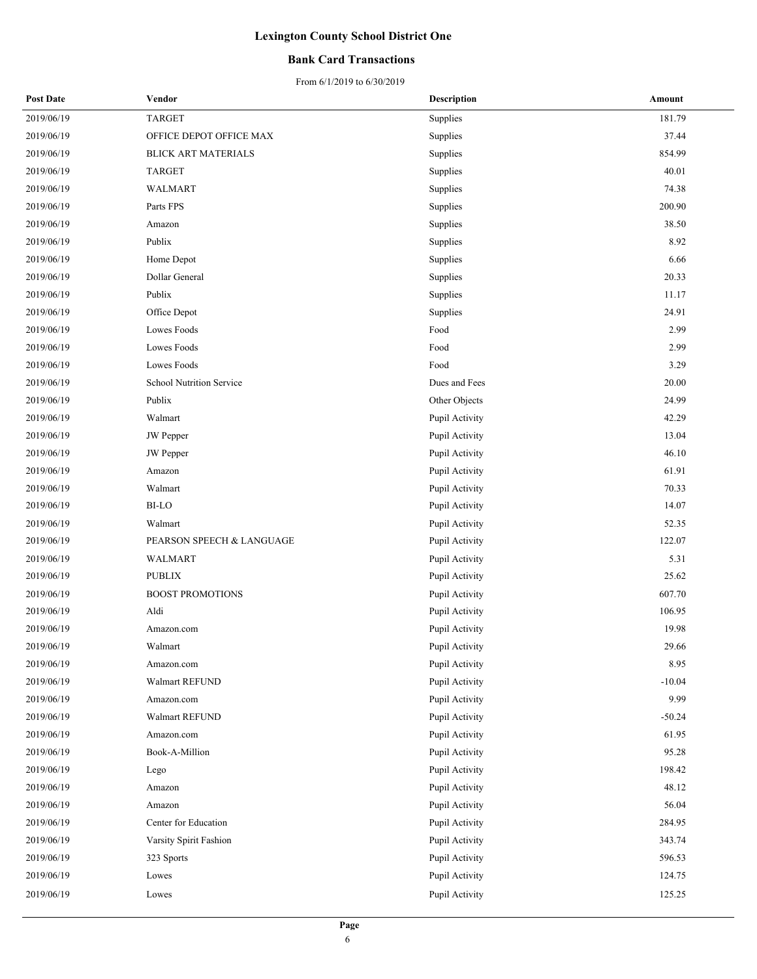### **Bank Card Transactions**

| <b>Post Date</b> | Vendor                          | <b>Description</b> | Amount   |
|------------------|---------------------------------|--------------------|----------|
| 2019/06/19       | <b>TARGET</b>                   | Supplies           | 181.79   |
| 2019/06/19       | OFFICE DEPOT OFFICE MAX         | Supplies           | 37.44    |
| 2019/06/19       | <b>BLICK ART MATERIALS</b>      | Supplies           | 854.99   |
| 2019/06/19       | <b>TARGET</b>                   | Supplies           | 40.01    |
| 2019/06/19       | <b>WALMART</b>                  | Supplies           | 74.38    |
| 2019/06/19       | Parts FPS                       | Supplies           | 200.90   |
| 2019/06/19       | Amazon                          | Supplies           | 38.50    |
| 2019/06/19       | Publix                          | Supplies           | 8.92     |
| 2019/06/19       | Home Depot                      | Supplies           | 6.66     |
| 2019/06/19       | Dollar General                  | Supplies           | 20.33    |
| 2019/06/19       | Publix                          | Supplies           | 11.17    |
| 2019/06/19       | Office Depot                    | Supplies           | 24.91    |
| 2019/06/19       | Lowes Foods                     | Food               | 2.99     |
| 2019/06/19       | Lowes Foods                     | Food               | 2.99     |
| 2019/06/19       | Lowes Foods                     | Food               | 3.29     |
| 2019/06/19       | <b>School Nutrition Service</b> | Dues and Fees      | 20.00    |
| 2019/06/19       | Publix                          | Other Objects      | 24.99    |
| 2019/06/19       | Walmart                         | Pupil Activity     | 42.29    |
| 2019/06/19       | <b>JW</b> Pepper                | Pupil Activity     | 13.04    |
| 2019/06/19       | <b>JW</b> Pepper                | Pupil Activity     | 46.10    |
| 2019/06/19       | Amazon                          | Pupil Activity     | 61.91    |
| 2019/06/19       | Walmart                         | Pupil Activity     | 70.33    |
| 2019/06/19       | <b>BI-LO</b>                    | Pupil Activity     | 14.07    |
| 2019/06/19       | Walmart                         | Pupil Activity     | 52.35    |
| 2019/06/19       | PEARSON SPEECH & LANGUAGE       | Pupil Activity     | 122.07   |
| 2019/06/19       | WALMART                         | Pupil Activity     | 5.31     |
| 2019/06/19       | <b>PUBLIX</b>                   | Pupil Activity     | 25.62    |
| 2019/06/19       | <b>BOOST PROMOTIONS</b>         | Pupil Activity     | 607.70   |
| 2019/06/19       | Aldi                            | Pupil Activity     | 106.95   |
| 2019/06/19       | Amazon.com                      | Pupil Activity     | 19.98    |
| 2019/06/19       | Walmart                         | Pupil Activity     | 29.66    |
| 2019/06/19       | Amazon.com                      | Pupil Activity     | 8.95     |
| 2019/06/19       | Walmart REFUND                  | Pupil Activity     | $-10.04$ |
| 2019/06/19       | Amazon.com                      | Pupil Activity     | 9.99     |
| 2019/06/19       | Walmart REFUND                  | Pupil Activity     | $-50.24$ |
| 2019/06/19       | Amazon.com                      | Pupil Activity     | 61.95    |
| 2019/06/19       | Book-A-Million                  | Pupil Activity     | 95.28    |
| 2019/06/19       | Lego                            | Pupil Activity     | 198.42   |
| 2019/06/19       | Amazon                          | Pupil Activity     | 48.12    |
| 2019/06/19       | Amazon                          | Pupil Activity     | 56.04    |
| 2019/06/19       | Center for Education            | Pupil Activity     | 284.95   |
| 2019/06/19       | Varsity Spirit Fashion          | Pupil Activity     | 343.74   |
| 2019/06/19       | 323 Sports                      | Pupil Activity     | 596.53   |
| 2019/06/19       | Lowes                           | Pupil Activity     | 124.75   |
| 2019/06/19       | Lowes                           | Pupil Activity     | 125.25   |
|                  |                                 |                    |          |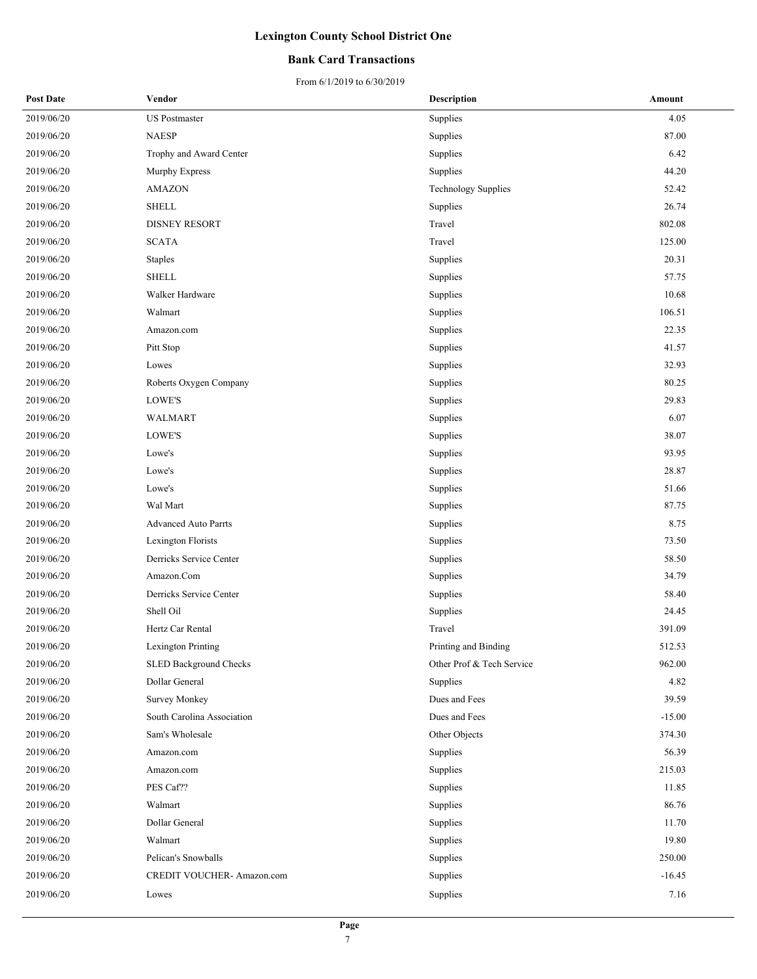### **Bank Card Transactions**

| <b>Post Date</b> | Vendor                      | <b>Description</b>         | Amount   |
|------------------|-----------------------------|----------------------------|----------|
| 2019/06/20       | <b>US</b> Postmaster        | Supplies                   | 4.05     |
| 2019/06/20       | <b>NAESP</b>                | Supplies                   | 87.00    |
| 2019/06/20       | Trophy and Award Center     | Supplies                   | 6.42     |
| 2019/06/20       | Murphy Express              | Supplies                   | 44.20    |
| 2019/06/20       | <b>AMAZON</b>               | <b>Technology Supplies</b> | 52.42    |
| 2019/06/20       | <b>SHELL</b>                | Supplies                   | 26.74    |
| 2019/06/20       | <b>DISNEY RESORT</b>        | Travel                     | 802.08   |
| 2019/06/20       | <b>SCATA</b>                | Travel                     | 125.00   |
| 2019/06/20       | <b>Staples</b>              | Supplies                   | 20.31    |
| 2019/06/20       | <b>SHELL</b>                | Supplies                   | 57.75    |
| 2019/06/20       | Walker Hardware             | Supplies                   | 10.68    |
| 2019/06/20       | Walmart                     | Supplies                   | 106.51   |
| 2019/06/20       | Amazon.com                  | Supplies                   | 22.35    |
| 2019/06/20       | Pitt Stop                   | Supplies                   | 41.57    |
| 2019/06/20       | Lowes                       | Supplies                   | 32.93    |
| 2019/06/20       | Roberts Oxygen Company      | Supplies                   | 80.25    |
| 2019/06/20       | LOWE'S                      | Supplies                   | 29.83    |
| 2019/06/20       | WALMART                     | Supplies                   | 6.07     |
| 2019/06/20       | LOWE'S                      | Supplies                   | 38.07    |
| 2019/06/20       | Lowe's                      | Supplies                   | 93.95    |
| 2019/06/20       | Lowe's                      | Supplies                   | 28.87    |
| 2019/06/20       | Lowe's                      | Supplies                   | 51.66    |
| 2019/06/20       | Wal Mart                    | Supplies                   | 87.75    |
| 2019/06/20       | <b>Advanced Auto Parrts</b> | Supplies                   | 8.75     |
| 2019/06/20       | Lexington Florists          | Supplies                   | 73.50    |
| 2019/06/20       | Derricks Service Center     | Supplies                   | 58.50    |
| 2019/06/20       | Amazon.Com                  | Supplies                   | 34.79    |
| 2019/06/20       | Derricks Service Center     | Supplies                   | 58.40    |
| 2019/06/20       | Shell Oil                   | Supplies                   | 24.45    |
| 2019/06/20       | Hertz Car Rental            | Travel                     | 391.09   |
| 2019/06/20       | Lexington Printing          | Printing and Binding       | 512.53   |
| 2019/06/20       | SLED Background Checks      | Other Prof & Tech Service  | 962.00   |
| 2019/06/20       | Dollar General              | Supplies                   | 4.82     |
| 2019/06/20       | <b>Survey Monkey</b>        | Dues and Fees              | 39.59    |
| 2019/06/20       | South Carolina Association  | Dues and Fees              | $-15.00$ |
| 2019/06/20       | Sam's Wholesale             | Other Objects              | 374.30   |
| 2019/06/20       | Amazon.com                  | Supplies                   | 56.39    |
| 2019/06/20       | Amazon.com                  | Supplies                   | 215.03   |
| 2019/06/20       | PES Caf??                   | Supplies                   | 11.85    |
| 2019/06/20       | Walmart                     | Supplies                   | 86.76    |
| 2019/06/20       | Dollar General              | Supplies                   | 11.70    |
| 2019/06/20       | Walmart                     | Supplies                   | 19.80    |
| 2019/06/20       | Pelican's Snowballs         | Supplies                   | 250.00   |
| 2019/06/20       | CREDIT VOUCHER- Amazon.com  | Supplies                   | $-16.45$ |
| 2019/06/20       | Lowes                       | Supplies                   | 7.16     |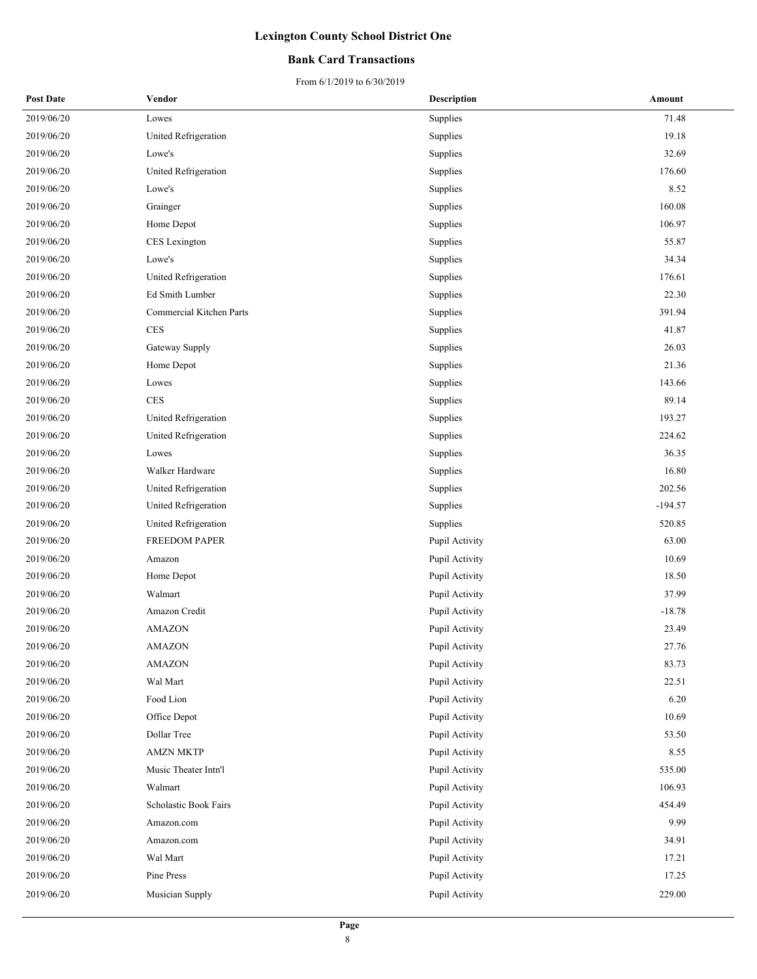### **Bank Card Transactions**

| <b>Post Date</b> | Vendor                   | <b>Description</b> | Amount    |
|------------------|--------------------------|--------------------|-----------|
| 2019/06/20       | Lowes                    | Supplies           | 71.48     |
| 2019/06/20       | United Refrigeration     | Supplies           | 19.18     |
| 2019/06/20       | Lowe's                   | Supplies           | 32.69     |
| 2019/06/20       | United Refrigeration     | Supplies           | 176.60    |
| 2019/06/20       | Lowe's                   | Supplies           | 8.52      |
| 2019/06/20       | Grainger                 | Supplies           | 160.08    |
| 2019/06/20       | Home Depot               | Supplies           | 106.97    |
| 2019/06/20       | CES Lexington            | Supplies           | 55.87     |
| 2019/06/20       | Lowe's                   | Supplies           | 34.34     |
| 2019/06/20       | United Refrigeration     | Supplies           | 176.61    |
| 2019/06/20       | Ed Smith Lumber          | Supplies           | 22.30     |
| 2019/06/20       | Commercial Kitchen Parts | Supplies           | 391.94    |
| 2019/06/20       | <b>CES</b>               | Supplies           | 41.87     |
| 2019/06/20       | Gateway Supply           | Supplies           | 26.03     |
| 2019/06/20       | Home Depot               | Supplies           | 21.36     |
| 2019/06/20       | Lowes                    | Supplies           | 143.66    |
| 2019/06/20       | <b>CES</b>               | Supplies           | 89.14     |
| 2019/06/20       | United Refrigeration     | Supplies           | 193.27    |
| 2019/06/20       | United Refrigeration     | Supplies           | 224.62    |
| 2019/06/20       | Lowes                    | Supplies           | 36.35     |
| 2019/06/20       | Walker Hardware          | Supplies           | 16.80     |
| 2019/06/20       | United Refrigeration     | Supplies           | 202.56    |
| 2019/06/20       | United Refrigeration     | Supplies           | $-194.57$ |
| 2019/06/20       | United Refrigeration     | Supplies           | 520.85    |
| 2019/06/20       | FREEDOM PAPER            | Pupil Activity     | 63.00     |
| 2019/06/20       | Amazon                   | Pupil Activity     | 10.69     |
| 2019/06/20       | Home Depot               | Pupil Activity     | 18.50     |
| 2019/06/20       | Walmart                  | Pupil Activity     | 37.99     |
| 2019/06/20       | Amazon Credit            | Pupil Activity     | $-18.78$  |
| 2019/06/20       | AMAZON                   | Pupil Activity     | 23.49     |
| 2019/06/20       | AMAZON                   | Pupil Activity     | 27.76     |
| 2019/06/20       | AMAZON                   | Pupil Activity     | 83.73     |
| 2019/06/20       | Wal Mart                 | Pupil Activity     | 22.51     |
| 2019/06/20       | Food Lion                | Pupil Activity     | 6.20      |
| 2019/06/20       | Office Depot             | Pupil Activity     | 10.69     |
| 2019/06/20       | Dollar Tree              | Pupil Activity     | 53.50     |
| 2019/06/20       | <b>AMZN MKTP</b>         | Pupil Activity     | 8.55      |
| 2019/06/20       | Music Theater Intn'l     | Pupil Activity     | 535.00    |
| 2019/06/20       | Walmart                  | Pupil Activity     | 106.93    |
| 2019/06/20       | Scholastic Book Fairs    | Pupil Activity     | 454.49    |
| 2019/06/20       | Amazon.com               | Pupil Activity     | 9.99      |
| 2019/06/20       | Amazon.com               | Pupil Activity     | 34.91     |
| 2019/06/20       | Wal Mart                 | Pupil Activity     | 17.21     |
| 2019/06/20       | Pine Press               | Pupil Activity     | 17.25     |
| 2019/06/20       | Musician Supply          | Pupil Activity     | 229.00    |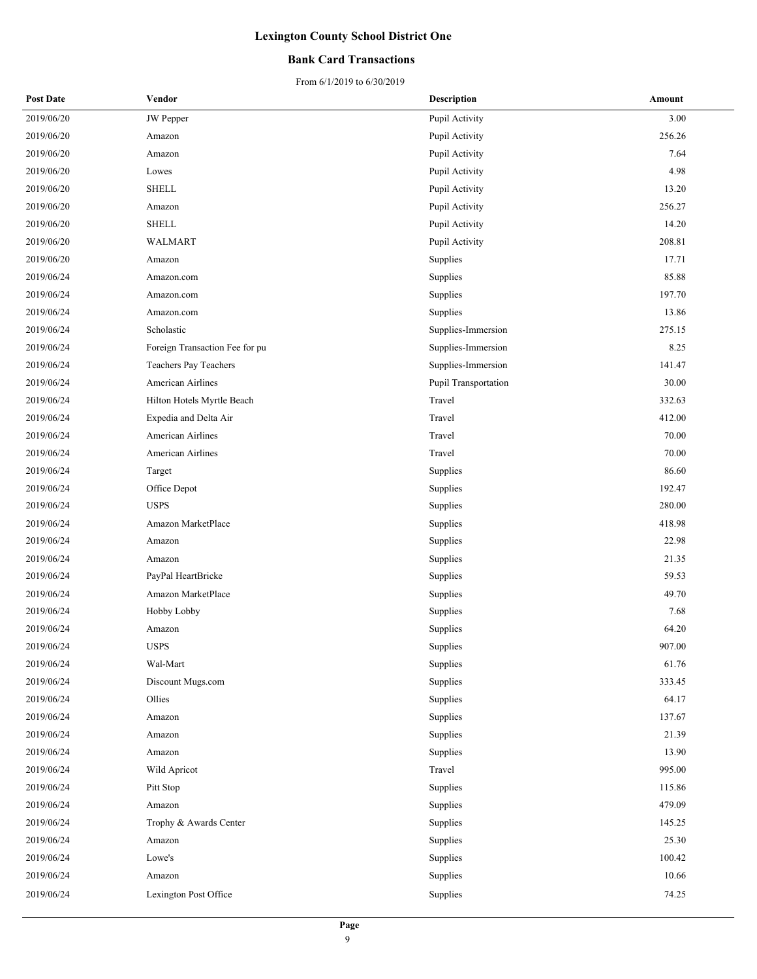### **Bank Card Transactions**

| <b>Post Date</b> | Vendor                         | <b>Description</b>   | Amount |
|------------------|--------------------------------|----------------------|--------|
| 2019/06/20       | <b>JW</b> Pepper               | Pupil Activity       | 3.00   |
| 2019/06/20       | Amazon                         | Pupil Activity       | 256.26 |
| 2019/06/20       | Amazon                         | Pupil Activity       | 7.64   |
| 2019/06/20       | Lowes                          | Pupil Activity       | 4.98   |
| 2019/06/20       | <b>SHELL</b>                   | Pupil Activity       | 13.20  |
| 2019/06/20       | Amazon                         | Pupil Activity       | 256.27 |
| 2019/06/20       | <b>SHELL</b>                   | Pupil Activity       | 14.20  |
| 2019/06/20       | WALMART                        | Pupil Activity       | 208.81 |
| 2019/06/20       | Amazon                         | Supplies             | 17.71  |
| 2019/06/24       | Amazon.com                     | Supplies             | 85.88  |
| 2019/06/24       | Amazon.com                     | Supplies             | 197.70 |
| 2019/06/24       | Amazon.com                     | Supplies             | 13.86  |
| 2019/06/24       | Scholastic                     | Supplies-Immersion   | 275.15 |
| 2019/06/24       | Foreign Transaction Fee for pu | Supplies-Immersion   | 8.25   |
| 2019/06/24       | Teachers Pay Teachers          | Supplies-Immersion   | 141.47 |
| 2019/06/24       | American Airlines              | Pupil Transportation | 30.00  |
| 2019/06/24       | Hilton Hotels Myrtle Beach     | Travel               | 332.63 |
| 2019/06/24       | Expedia and Delta Air          | Travel               | 412.00 |
| 2019/06/24       | <b>American Airlines</b>       | Travel               | 70.00  |
| 2019/06/24       | American Airlines              | Travel               | 70.00  |
| 2019/06/24       | Target                         | Supplies             | 86.60  |
| 2019/06/24       | Office Depot                   | Supplies             | 192.47 |
| 2019/06/24       | <b>USPS</b>                    | Supplies             | 280.00 |
| 2019/06/24       | Amazon MarketPlace             | Supplies             | 418.98 |
| 2019/06/24       | Amazon                         | Supplies             | 22.98  |
| 2019/06/24       | Amazon                         | Supplies             | 21.35  |
| 2019/06/24       | PayPal HeartBricke             | Supplies             | 59.53  |
| 2019/06/24       | Amazon MarketPlace             | Supplies             | 49.70  |
| 2019/06/24       | Hobby Lobby                    | Supplies             | 7.68   |
| 2019/06/24       | Amazon                         | Supplies             | 64.20  |
| 2019/06/24       | <b>USPS</b>                    | Supplies             | 907.00 |
| 2019/06/24       | Wal-Mart                       | Supplies             | 61.76  |
| 2019/06/24       | Discount Mugs.com              | Supplies             | 333.45 |
| 2019/06/24       | Ollies                         | Supplies             | 64.17  |
| 2019/06/24       | Amazon                         | Supplies             | 137.67 |
| 2019/06/24       | Amazon                         | Supplies             | 21.39  |
| 2019/06/24       | Amazon                         | Supplies             | 13.90  |
| 2019/06/24       | Wild Apricot                   | Travel               | 995.00 |
| 2019/06/24       | Pitt Stop                      | Supplies             | 115.86 |
| 2019/06/24       | Amazon                         | Supplies             | 479.09 |
| 2019/06/24       | Trophy & Awards Center         | Supplies             | 145.25 |
| 2019/06/24       | Amazon                         | Supplies             | 25.30  |
| 2019/06/24       | Lowe's                         | Supplies             | 100.42 |
| 2019/06/24       | Amazon                         | Supplies             | 10.66  |
| 2019/06/24       | Lexington Post Office          | Supplies             | 74.25  |
|                  |                                |                      |        |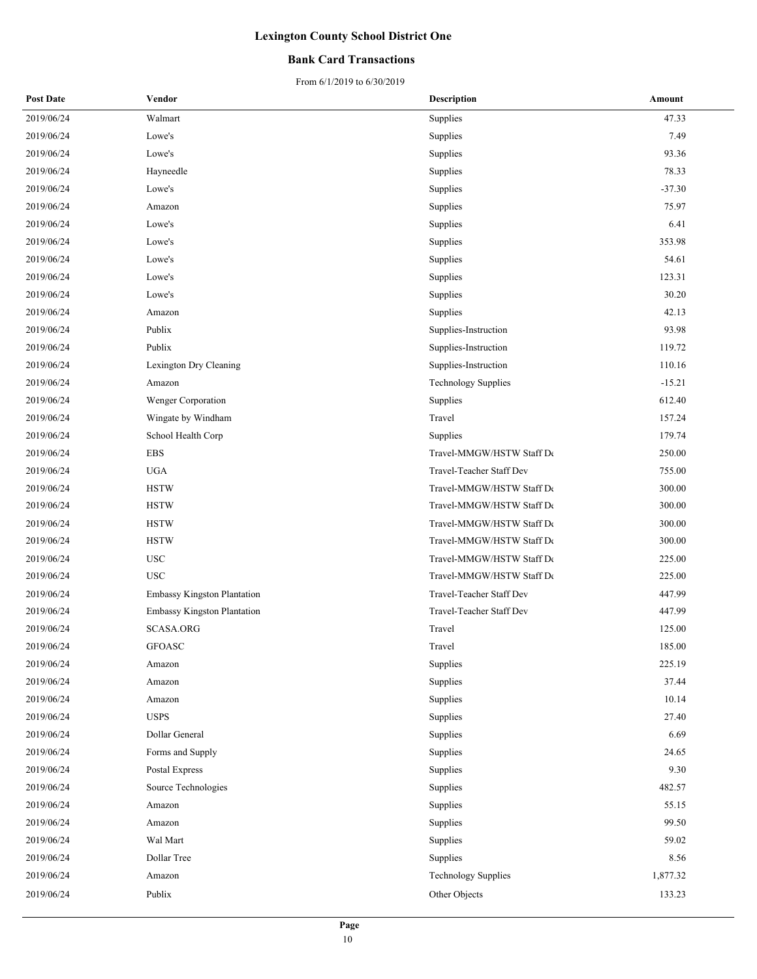### **Bank Card Transactions**

| <b>Post Date</b> | Vendor                             | <b>Description</b>         | Amount   |
|------------------|------------------------------------|----------------------------|----------|
| 2019/06/24       | Walmart                            | Supplies                   | 47.33    |
| 2019/06/24       | Lowe's                             | Supplies                   | 7.49     |
| 2019/06/24       | Lowe's                             | Supplies                   | 93.36    |
| 2019/06/24       | Hayneedle                          | Supplies                   | 78.33    |
| 2019/06/24       | Lowe's                             | Supplies                   | $-37.30$ |
| 2019/06/24       | Amazon                             | Supplies                   | 75.97    |
| 2019/06/24       | Lowe's                             | Supplies                   | 6.41     |
| 2019/06/24       | Lowe's                             | Supplies                   | 353.98   |
| 2019/06/24       | Lowe's                             | Supplies                   | 54.61    |
| 2019/06/24       | Lowe's                             | Supplies                   | 123.31   |
| 2019/06/24       | Lowe's                             | Supplies                   | 30.20    |
| 2019/06/24       | Amazon                             | Supplies                   | 42.13    |
| 2019/06/24       | Publix                             | Supplies-Instruction       | 93.98    |
| 2019/06/24       | Publix                             | Supplies-Instruction       | 119.72   |
| 2019/06/24       | Lexington Dry Cleaning             | Supplies-Instruction       | 110.16   |
| 2019/06/24       | Amazon                             | <b>Technology Supplies</b> | $-15.21$ |
| 2019/06/24       | Wenger Corporation                 | Supplies                   | 612.40   |
| 2019/06/24       | Wingate by Windham                 | Travel                     | 157.24   |
| 2019/06/24       | School Health Corp                 | Supplies                   | 179.74   |
| 2019/06/24       | <b>EBS</b>                         | Travel-MMGW/HSTW Staff De  | 250.00   |
| 2019/06/24       | <b>UGA</b>                         | Travel-Teacher Staff Dev   | 755.00   |
| 2019/06/24       | <b>HSTW</b>                        | Travel-MMGW/HSTW Staff De  | 300.00   |
| 2019/06/24       | <b>HSTW</b>                        | Travel-MMGW/HSTW Staff De  | 300.00   |
| 2019/06/24       | <b>HSTW</b>                        | Travel-MMGW/HSTW Staff De  | 300.00   |
| 2019/06/24       | <b>HSTW</b>                        | Travel-MMGW/HSTW Staff De  | 300.00   |
| 2019/06/24       | <b>USC</b>                         | Travel-MMGW/HSTW Staff De  | 225.00   |
| 2019/06/24       | <b>USC</b>                         | Travel-MMGW/HSTW Staff De  | 225.00   |
| 2019/06/24       | <b>Embassy Kingston Plantation</b> | Travel-Teacher Staff Dev   | 447.99   |
| 2019/06/24       | Embassy Kingston Plantation        | Travel-Teacher Staff Dev   | 447.99   |
| 2019/06/24       | SCASA.ORG                          | Travel                     | 125.00   |
| 2019/06/24       | <b>GFOASC</b>                      | Travel                     | 185.00   |
| 2019/06/24       | Amazon                             | Supplies                   | 225.19   |
| 2019/06/24       | Amazon                             | Supplies                   | 37.44    |
| 2019/06/24       | Amazon                             | Supplies                   | 10.14    |
| 2019/06/24       | <b>USPS</b>                        | Supplies                   | 27.40    |
| 2019/06/24       | Dollar General                     | Supplies                   | 6.69     |
| 2019/06/24       | Forms and Supply                   | Supplies                   | 24.65    |
| 2019/06/24       | Postal Express                     | Supplies                   | 9.30     |
| 2019/06/24       | Source Technologies                | Supplies                   | 482.57   |
| 2019/06/24       | Amazon                             | Supplies                   | 55.15    |
| 2019/06/24       | Amazon                             | Supplies                   | 99.50    |
| 2019/06/24       | Wal Mart                           | Supplies                   | 59.02    |
| 2019/06/24       | Dollar Tree                        | Supplies                   | 8.56     |
| 2019/06/24       | Amazon                             | <b>Technology Supplies</b> | 1,877.32 |
| 2019/06/24       | Publix                             | Other Objects              | 133.23   |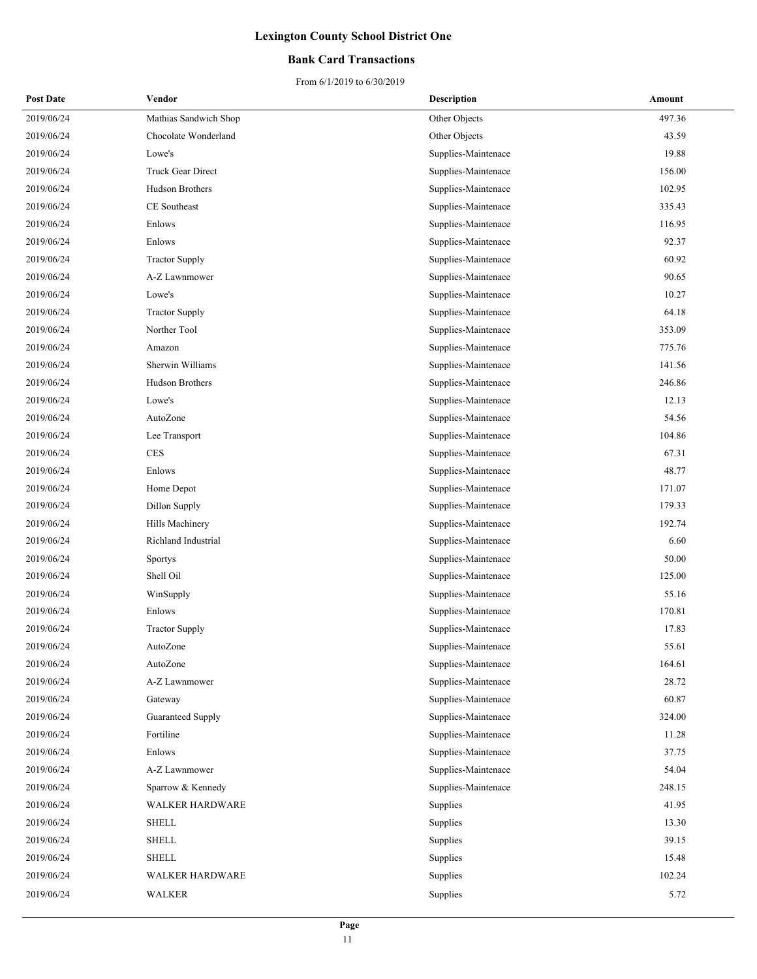### **Bank Card Transactions**

| <b>Post Date</b> | Vendor                 | <b>Description</b>  | Amount |
|------------------|------------------------|---------------------|--------|
| 2019/06/24       | Mathias Sandwich Shop  | Other Objects       | 497.36 |
| 2019/06/24       | Chocolate Wonderland   | Other Objects       | 43.59  |
| 2019/06/24       | Lowe's                 | Supplies-Maintenace | 19.88  |
| 2019/06/24       | Truck Gear Direct      | Supplies-Maintenace | 156.00 |
| 2019/06/24       | Hudson Brothers        | Supplies-Maintenace | 102.95 |
| 2019/06/24       | CE Southeast           | Supplies-Maintenace | 335.43 |
| 2019/06/24       | Enlows                 | Supplies-Maintenace | 116.95 |
| 2019/06/24       | Enlows                 | Supplies-Maintenace | 92.37  |
| 2019/06/24       | <b>Tractor Supply</b>  | Supplies-Maintenace | 60.92  |
| 2019/06/24       | A-Z Lawnmower          | Supplies-Maintenace | 90.65  |
| 2019/06/24       | Lowe's                 | Supplies-Maintenace | 10.27  |
| 2019/06/24       | <b>Tractor Supply</b>  | Supplies-Maintenace | 64.18  |
| 2019/06/24       | Norther Tool           | Supplies-Maintenace | 353.09 |
| 2019/06/24       | Amazon                 | Supplies-Maintenace | 775.76 |
| 2019/06/24       | Sherwin Williams       | Supplies-Maintenace | 141.56 |
| 2019/06/24       | <b>Hudson Brothers</b> | Supplies-Maintenace | 246.86 |
| 2019/06/24       | Lowe's                 | Supplies-Maintenace | 12.13  |
| 2019/06/24       | AutoZone               | Supplies-Maintenace | 54.56  |
| 2019/06/24       | Lee Transport          | Supplies-Maintenace | 104.86 |
| 2019/06/24       | <b>CES</b>             | Supplies-Maintenace | 67.31  |
| 2019/06/24       | Enlows                 | Supplies-Maintenace | 48.77  |
| 2019/06/24       | Home Depot             | Supplies-Maintenace | 171.07 |
| 2019/06/24       | Dillon Supply          | Supplies-Maintenace | 179.33 |
| 2019/06/24       | Hills Machinery        | Supplies-Maintenace | 192.74 |
| 2019/06/24       | Richland Industrial    | Supplies-Maintenace | 6.60   |
| 2019/06/24       | <b>Sportys</b>         | Supplies-Maintenace | 50.00  |
| 2019/06/24       | Shell Oil              | Supplies-Maintenace | 125.00 |
| 2019/06/24       | WinSupply              | Supplies-Maintenace | 55.16  |
| 2019/06/24       | Enlows                 | Supplies-Maintenace | 170.81 |
| 2019/06/24       | <b>Tractor Supply</b>  | Supplies-Maintenace | 17.83  |
| 2019/06/24       | AutoZone               | Supplies-Maintenace | 55.61  |
| 2019/06/24       | AutoZone               | Supplies-Maintenace | 164.61 |
| 2019/06/24       | A-Z Lawnmower          | Supplies-Maintenace | 28.72  |
| 2019/06/24       | Gateway                | Supplies-Maintenace | 60.87  |
| 2019/06/24       | Guaranteed Supply      | Supplies-Maintenace | 324.00 |
| 2019/06/24       | Fortiline              | Supplies-Maintenace | 11.28  |
| 2019/06/24       | Enlows                 | Supplies-Maintenace | 37.75  |
| 2019/06/24       | A-Z Lawnmower          | Supplies-Maintenace | 54.04  |
| 2019/06/24       | Sparrow & Kennedy      | Supplies-Maintenace | 248.15 |
| 2019/06/24       | <b>WALKER HARDWARE</b> | Supplies            | 41.95  |
| 2019/06/24       | <b>SHELL</b>           | Supplies            | 13.30  |
| 2019/06/24       | <b>SHELL</b>           | Supplies            | 39.15  |
| 2019/06/24       | <b>SHELL</b>           | Supplies            | 15.48  |
| 2019/06/24       | WALKER HARDWARE        | Supplies            | 102.24 |
| 2019/06/24       | WALKER                 | Supplies            | 5.72   |
|                  |                        |                     |        |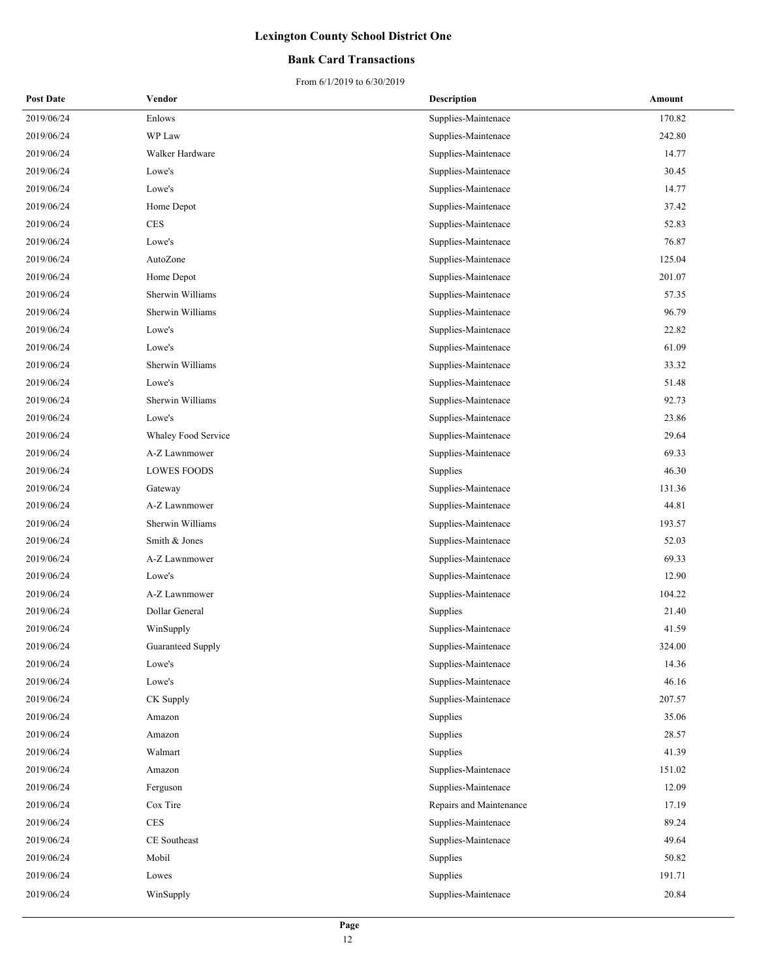### **Bank Card Transactions**

| <b>Post Date</b> | Vendor              | <b>Description</b>      | Amount |
|------------------|---------------------|-------------------------|--------|
| 2019/06/24       | Enlows              | Supplies-Maintenace     | 170.82 |
| 2019/06/24       | WP Law              | Supplies-Maintenace     | 242.80 |
| 2019/06/24       | Walker Hardware     | Supplies-Maintenace     | 14.77  |
| 2019/06/24       | Lowe's              | Supplies-Maintenace     | 30.45  |
| 2019/06/24       | Lowe's              | Supplies-Maintenace     | 14.77  |
| 2019/06/24       | Home Depot          | Supplies-Maintenace     | 37.42  |
| 2019/06/24       | CES                 | Supplies-Maintenace     | 52.83  |
| 2019/06/24       | Lowe's              | Supplies-Maintenace     | 76.87  |
| 2019/06/24       | AutoZone            | Supplies-Maintenace     | 125.04 |
| 2019/06/24       | Home Depot          | Supplies-Maintenace     | 201.07 |
| 2019/06/24       | Sherwin Williams    | Supplies-Maintenace     | 57.35  |
| 2019/06/24       | Sherwin Williams    | Supplies-Maintenace     | 96.79  |
| 2019/06/24       | Lowe's              | Supplies-Maintenace     | 22.82  |
| 2019/06/24       | Lowe's              | Supplies-Maintenace     | 61.09  |
| 2019/06/24       | Sherwin Williams    | Supplies-Maintenace     | 33.32  |
| 2019/06/24       | Lowe's              | Supplies-Maintenace     | 51.48  |
| 2019/06/24       | Sherwin Williams    | Supplies-Maintenace     | 92.73  |
| 2019/06/24       | Lowe's              | Supplies-Maintenace     | 23.86  |
| 2019/06/24       | Whaley Food Service | Supplies-Maintenace     | 29.64  |
| 2019/06/24       | A-Z Lawnmower       | Supplies-Maintenace     | 69.33  |
| 2019/06/24       | <b>LOWES FOODS</b>  | Supplies                | 46.30  |
| 2019/06/24       | Gateway             | Supplies-Maintenace     | 131.36 |
| 2019/06/24       | A-Z Lawnmower       | Supplies-Maintenace     | 44.81  |
| 2019/06/24       | Sherwin Williams    | Supplies-Maintenace     | 193.57 |
| 2019/06/24       | Smith & Jones       | Supplies-Maintenace     | 52.03  |
| 2019/06/24       | A-Z Lawnmower       | Supplies-Maintenace     | 69.33  |
| 2019/06/24       | Lowe's              | Supplies-Maintenace     | 12.90  |
| 2019/06/24       | A-Z Lawnmower       | Supplies-Maintenace     | 104.22 |
| 2019/06/24       | Dollar General      | Supplies                | 21.40  |
| 2019/06/24       | WinSupply           | Supplies-Maintenace     | 41.59  |
| 2019/06/24       | Guaranteed Supply   | Supplies-Maintenace     | 324.00 |
| 2019/06/24       | Lowe's              | Supplies-Maintenace     | 14.36  |
| 2019/06/24       | Lowe's              | Supplies-Maintenace     | 46.16  |
| 2019/06/24       | CK Supply           | Supplies-Maintenace     | 207.57 |
| 2019/06/24       | Amazon              | Supplies                | 35.06  |
| 2019/06/24       | Amazon              | Supplies                | 28.57  |
| 2019/06/24       | Walmart             | Supplies                | 41.39  |
| 2019/06/24       | Amazon              | Supplies-Maintenace     | 151.02 |
| 2019/06/24       | Ferguson            | Supplies-Maintenace     | 12.09  |
| 2019/06/24       | Cox Tire            | Repairs and Maintenance | 17.19  |
| 2019/06/24       | CES                 | Supplies-Maintenace     | 89.24  |
| 2019/06/24       | CE Southeast        | Supplies-Maintenace     | 49.64  |
| 2019/06/24       | Mobil               | Supplies                | 50.82  |
| 2019/06/24       | Lowes               | Supplies                | 191.71 |
| 2019/06/24       | WinSupply           | Supplies-Maintenace     | 20.84  |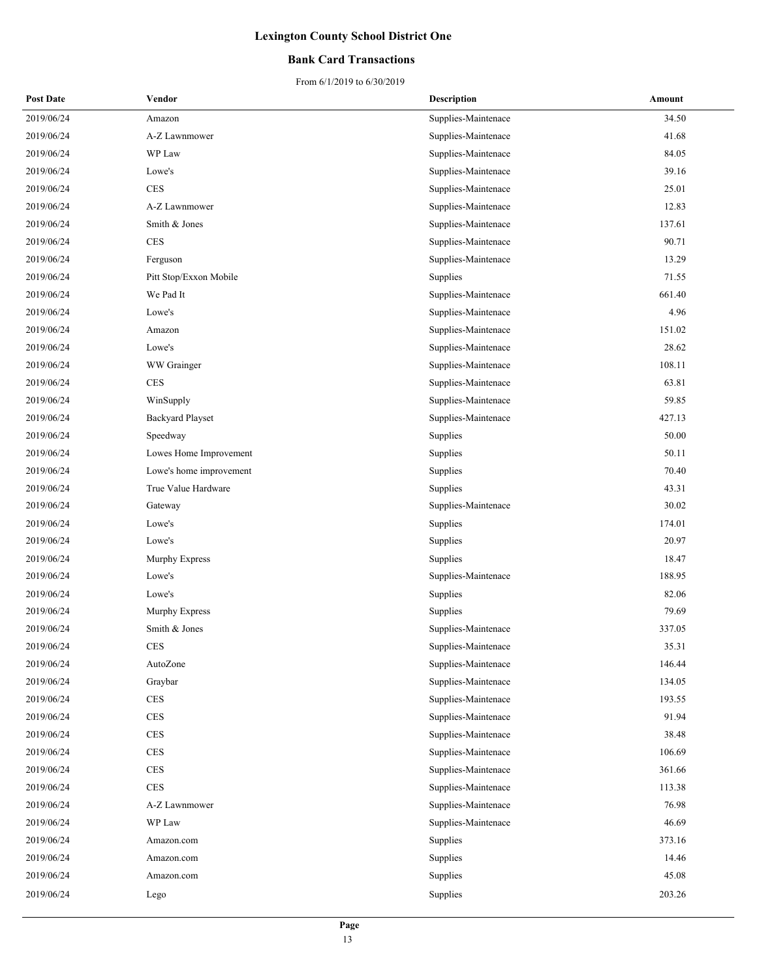### **Bank Card Transactions**

| <b>Post Date</b> | Vendor                  | <b>Description</b>  | Amount |
|------------------|-------------------------|---------------------|--------|
| 2019/06/24       | Amazon                  | Supplies-Maintenace | 34.50  |
| 2019/06/24       | A-Z Lawnmower           | Supplies-Maintenace | 41.68  |
| 2019/06/24       | WP Law                  | Supplies-Maintenace | 84.05  |
| 2019/06/24       | Lowe's                  | Supplies-Maintenace | 39.16  |
| 2019/06/24       | <b>CES</b>              | Supplies-Maintenace | 25.01  |
| 2019/06/24       | A-Z Lawnmower           | Supplies-Maintenace | 12.83  |
| 2019/06/24       | Smith & Jones           | Supplies-Maintenace | 137.61 |
| 2019/06/24       | <b>CES</b>              | Supplies-Maintenace | 90.71  |
| 2019/06/24       | Ferguson                | Supplies-Maintenace | 13.29  |
| 2019/06/24       | Pitt Stop/Exxon Mobile  | Supplies            | 71.55  |
| 2019/06/24       | We Pad It               | Supplies-Maintenace | 661.40 |
| 2019/06/24       | Lowe's                  | Supplies-Maintenace | 4.96   |
| 2019/06/24       | Amazon                  | Supplies-Maintenace | 151.02 |
| 2019/06/24       | Lowe's                  | Supplies-Maintenace | 28.62  |
| 2019/06/24       | WW Grainger             | Supplies-Maintenace | 108.11 |
| 2019/06/24       | $\mbox{CES}$            | Supplies-Maintenace | 63.81  |
| 2019/06/24       | WinSupply               | Supplies-Maintenace | 59.85  |
| 2019/06/24       | <b>Backyard Playset</b> | Supplies-Maintenace | 427.13 |
| 2019/06/24       | Speedway                | Supplies            | 50.00  |
| 2019/06/24       | Lowes Home Improvement  | Supplies            | 50.11  |
| 2019/06/24       | Lowe's home improvement | Supplies            | 70.40  |
| 2019/06/24       | True Value Hardware     | Supplies            | 43.31  |
| 2019/06/24       | Gateway                 | Supplies-Maintenace | 30.02  |
| 2019/06/24       | Lowe's                  | Supplies            | 174.01 |
| 2019/06/24       | Lowe's                  | Supplies            | 20.97  |
| 2019/06/24       | Murphy Express          | Supplies            | 18.47  |
| 2019/06/24       | Lowe's                  | Supplies-Maintenace | 188.95 |
| 2019/06/24       | Lowe's                  | Supplies            | 82.06  |
| 2019/06/24       | Murphy Express          | Supplies            | 79.69  |
| 2019/06/24       | Smith & Jones           | Supplies-Maintenace | 337.05 |
| 2019/06/24       | <b>CES</b>              | Supplies-Maintenace | 35.31  |
| 2019/06/24       | AutoZone                | Supplies-Maintenace | 146.44 |
| 2019/06/24       | Graybar                 | Supplies-Maintenace | 134.05 |
| 2019/06/24       | <b>CES</b>              | Supplies-Maintenace | 193.55 |
| 2019/06/24       | CES                     | Supplies-Maintenace | 91.94  |
| 2019/06/24       | $\mbox{CES}$            | Supplies-Maintenace | 38.48  |
| 2019/06/24       | <b>CES</b>              | Supplies-Maintenace | 106.69 |
| 2019/06/24       | $\mbox{CES}$            | Supplies-Maintenace | 361.66 |
| 2019/06/24       | $\rm{CES}$              | Supplies-Maintenace | 113.38 |
| 2019/06/24       | A-Z Lawnmower           | Supplies-Maintenace | 76.98  |
| 2019/06/24       | WP Law                  | Supplies-Maintenace | 46.69  |
| 2019/06/24       | Amazon.com              | Supplies            | 373.16 |
| 2019/06/24       | Amazon.com              | Supplies            | 14.46  |
| 2019/06/24       | Amazon.com              | Supplies            | 45.08  |
| 2019/06/24       | Lego                    | Supplies            | 203.26 |
|                  |                         |                     |        |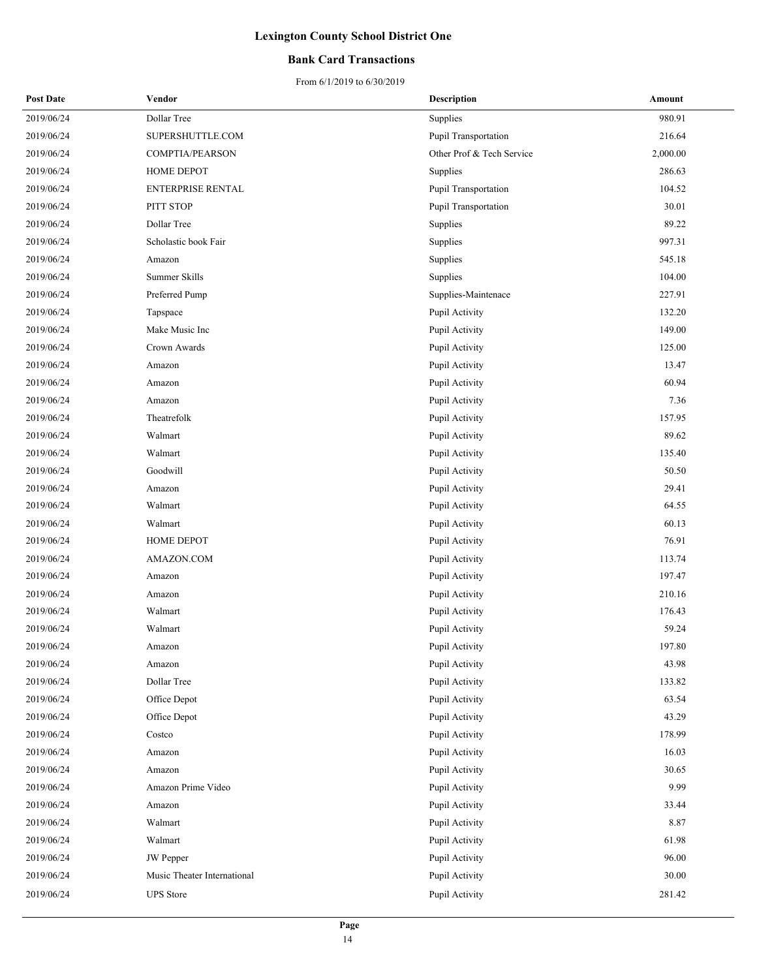### **Bank Card Transactions**

| <b>Post Date</b> | Vendor                      | <b>Description</b>        | Amount   |
|------------------|-----------------------------|---------------------------|----------|
| 2019/06/24       | Dollar Tree                 | Supplies                  | 980.91   |
| 2019/06/24       | SUPERSHUTTLE.COM            | Pupil Transportation      | 216.64   |
| 2019/06/24       | COMPTIA/PEARSON             | Other Prof & Tech Service | 2,000.00 |
| 2019/06/24       | HOME DEPOT                  | Supplies                  | 286.63   |
| 2019/06/24       | ENTERPRISE RENTAL           | Pupil Transportation      | 104.52   |
| 2019/06/24       | PITT STOP                   | Pupil Transportation      | 30.01    |
| 2019/06/24       | Dollar Tree                 | Supplies                  | 89.22    |
| 2019/06/24       | Scholastic book Fair        | Supplies                  | 997.31   |
| 2019/06/24       | Amazon                      | Supplies                  | 545.18   |
| 2019/06/24       | Summer Skills               | Supplies                  | 104.00   |
| 2019/06/24       | Preferred Pump              | Supplies-Maintenace       | 227.91   |
| 2019/06/24       | Tapspace                    | Pupil Activity            | 132.20   |
| 2019/06/24       | Make Music Inc              | Pupil Activity            | 149.00   |
| 2019/06/24       | Crown Awards                | Pupil Activity            | 125.00   |
| 2019/06/24       | Amazon                      | Pupil Activity            | 13.47    |
| 2019/06/24       | Amazon                      | Pupil Activity            | 60.94    |
| 2019/06/24       | Amazon                      | Pupil Activity            | 7.36     |
| 2019/06/24       | Theatrefolk                 | Pupil Activity            | 157.95   |
| 2019/06/24       | Walmart                     | Pupil Activity            | 89.62    |
| 2019/06/24       | Walmart                     | Pupil Activity            | 135.40   |
| 2019/06/24       | Goodwill                    | Pupil Activity            | 50.50    |
| 2019/06/24       | Amazon                      | Pupil Activity            | 29.41    |
| 2019/06/24       | Walmart                     | Pupil Activity            | 64.55    |
| 2019/06/24       | Walmart                     | Pupil Activity            | 60.13    |
| 2019/06/24       | HOME DEPOT                  | Pupil Activity            | 76.91    |
| 2019/06/24       | AMAZON.COM                  | Pupil Activity            | 113.74   |
| 2019/06/24       | Amazon                      | Pupil Activity            | 197.47   |
| 2019/06/24       | Amazon                      | Pupil Activity            | 210.16   |
| 2019/06/24       | Walmart                     | Pupil Activity            | 176.43   |
| 2019/06/24       | Walmart                     | Pupil Activity            | 59.24    |
| 2019/06/24       | Amazon                      | Pupil Activity            | 197.80   |
| 2019/06/24       | Amazon                      | Pupil Activity            | 43.98    |
| 2019/06/24       | Dollar Tree                 | Pupil Activity            | 133.82   |
| 2019/06/24       | Office Depot                | Pupil Activity            | 63.54    |
| 2019/06/24       | Office Depot                | Pupil Activity            | 43.29    |
| 2019/06/24       | Costco                      | Pupil Activity            | 178.99   |
| 2019/06/24       | Amazon                      | Pupil Activity            | 16.03    |
| 2019/06/24       | Amazon                      | Pupil Activity            | 30.65    |
| 2019/06/24       | Amazon Prime Video          | Pupil Activity            | 9.99     |
| 2019/06/24       | Amazon                      | Pupil Activity            | 33.44    |
| 2019/06/24       | Walmart                     | Pupil Activity            | 8.87     |
| 2019/06/24       | Walmart                     | Pupil Activity            | 61.98    |
| 2019/06/24       | <b>JW</b> Pepper            | Pupil Activity            | 96.00    |
| 2019/06/24       | Music Theater International | Pupil Activity            | 30.00    |
| 2019/06/24       | <b>UPS</b> Store            | Pupil Activity            | 281.42   |
|                  |                             |                           |          |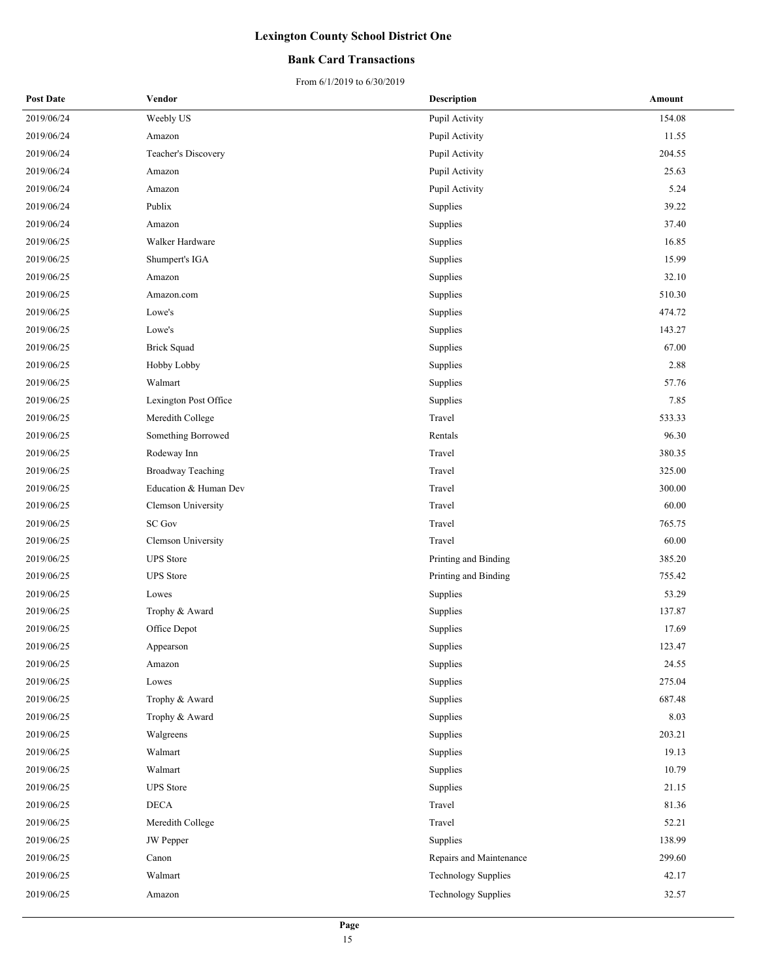### **Bank Card Transactions**

| <b>Post Date</b> | Vendor                   | <b>Description</b>         | Amount |
|------------------|--------------------------|----------------------------|--------|
| 2019/06/24       | Weebly US                | Pupil Activity             | 154.08 |
| 2019/06/24       | Amazon                   | Pupil Activity             | 11.55  |
| 2019/06/24       | Teacher's Discovery      | Pupil Activity             | 204.55 |
| 2019/06/24       | Amazon                   | Pupil Activity             | 25.63  |
| 2019/06/24       | Amazon                   | Pupil Activity             | 5.24   |
| 2019/06/24       | Publix                   | Supplies                   | 39.22  |
| 2019/06/24       | Amazon                   | Supplies                   | 37.40  |
| 2019/06/25       | Walker Hardware          | Supplies                   | 16.85  |
| 2019/06/25       | Shumpert's IGA           | Supplies                   | 15.99  |
| 2019/06/25       | Amazon                   | Supplies                   | 32.10  |
| 2019/06/25       | Amazon.com               | Supplies                   | 510.30 |
| 2019/06/25       | Lowe's                   | Supplies                   | 474.72 |
| 2019/06/25       | Lowe's                   | Supplies                   | 143.27 |
| 2019/06/25       | <b>Brick Squad</b>       | Supplies                   | 67.00  |
| 2019/06/25       | Hobby Lobby              | Supplies                   | 2.88   |
| 2019/06/25       | Walmart                  | Supplies                   | 57.76  |
| 2019/06/25       | Lexington Post Office    | Supplies                   | 7.85   |
| 2019/06/25       | Meredith College         | Travel                     | 533.33 |
| 2019/06/25       | Something Borrowed       | Rentals                    | 96.30  |
| 2019/06/25       | Rodeway Inn              | Travel                     | 380.35 |
| 2019/06/25       | <b>Broadway Teaching</b> | Travel                     | 325.00 |
| 2019/06/25       | Education & Human Dev    | Travel                     | 300.00 |
| 2019/06/25       | Clemson University       | Travel                     | 60.00  |
| 2019/06/25       | <b>SC Gov</b>            | Travel                     | 765.75 |
| 2019/06/25       | Clemson University       | Travel                     | 60.00  |
| 2019/06/25       | <b>UPS</b> Store         | Printing and Binding       | 385.20 |
| 2019/06/25       | <b>UPS</b> Store         | Printing and Binding       | 755.42 |
| 2019/06/25       | Lowes                    | Supplies                   | 53.29  |
| 2019/06/25       | Trophy & Award           | Supplies                   | 137.87 |
| 2019/06/25       | Office Depot             | Supplies                   | 17.69  |
| 2019/06/25       | Appearson                | Supplies                   | 123.47 |
| 2019/06/25       | Amazon                   | Supplies                   | 24.55  |
| 2019/06/25       | Lowes                    | Supplies                   | 275.04 |
| 2019/06/25       | Trophy & Award           | Supplies                   | 687.48 |
| 2019/06/25       | Trophy & Award           | Supplies                   | 8.03   |
| 2019/06/25       | Walgreens                | Supplies                   | 203.21 |
| 2019/06/25       | Walmart                  | Supplies                   | 19.13  |
| 2019/06/25       | Walmart                  | Supplies                   | 10.79  |
| 2019/06/25       | <b>UPS</b> Store         | Supplies                   | 21.15  |
| 2019/06/25       | DECA                     | Travel                     | 81.36  |
| 2019/06/25       | Meredith College         | Travel                     | 52.21  |
| 2019/06/25       | JW Pepper                | Supplies                   | 138.99 |
| 2019/06/25       | Canon                    | Repairs and Maintenance    | 299.60 |
| 2019/06/25       | Walmart                  | <b>Technology Supplies</b> | 42.17  |
| 2019/06/25       | Amazon                   | <b>Technology Supplies</b> | 32.57  |
|                  |                          |                            |        |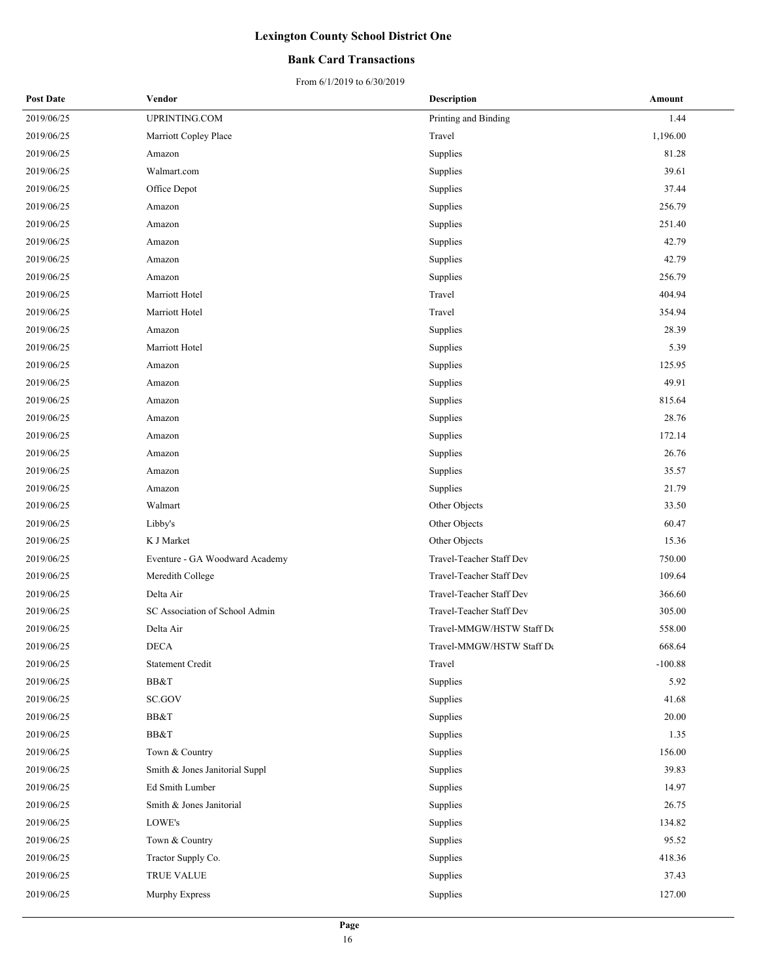### **Bank Card Transactions**

| <b>Post Date</b> | Vendor                         | Description               | Amount    |
|------------------|--------------------------------|---------------------------|-----------|
| 2019/06/25       | UPRINTING.COM                  | Printing and Binding      | 1.44      |
| 2019/06/25       | Marriott Copley Place          | Travel                    | 1,196.00  |
| 2019/06/25       | Amazon                         | Supplies                  | 81.28     |
| 2019/06/25       | Walmart.com                    | Supplies                  | 39.61     |
| 2019/06/25       | Office Depot                   | Supplies                  | 37.44     |
| 2019/06/25       | Amazon                         | Supplies                  | 256.79    |
| 2019/06/25       | Amazon                         | Supplies                  | 251.40    |
| 2019/06/25       | Amazon                         | Supplies                  | 42.79     |
| 2019/06/25       | Amazon                         | Supplies                  | 42.79     |
| 2019/06/25       | Amazon                         | Supplies                  | 256.79    |
| 2019/06/25       | Marriott Hotel                 | Travel                    | 404.94    |
| 2019/06/25       | Marriott Hotel                 | Travel                    | 354.94    |
| 2019/06/25       | Amazon                         | Supplies                  | 28.39     |
| 2019/06/25       | Marriott Hotel                 | Supplies                  | 5.39      |
| 2019/06/25       | Amazon                         | Supplies                  | 125.95    |
| 2019/06/25       | Amazon                         | Supplies                  | 49.91     |
| 2019/06/25       | Amazon                         | Supplies                  | 815.64    |
| 2019/06/25       | Amazon                         | Supplies                  | 28.76     |
| 2019/06/25       | Amazon                         | Supplies                  | 172.14    |
| 2019/06/25       | Amazon                         | Supplies                  | 26.76     |
| 2019/06/25       | Amazon                         | Supplies                  | 35.57     |
| 2019/06/25       | Amazon                         | Supplies                  | 21.79     |
| 2019/06/25       | Walmart                        | Other Objects             | 33.50     |
| 2019/06/25       | Libby's                        | Other Objects             | 60.47     |
| 2019/06/25       | K J Market                     | Other Objects             | 15.36     |
| 2019/06/25       | Eventure - GA Woodward Academy | Travel-Teacher Staff Dev  | 750.00    |
| 2019/06/25       | Meredith College               | Travel-Teacher Staff Dev  | 109.64    |
| 2019/06/25       | Delta Air                      | Travel-Teacher Staff Dev  | 366.60    |
| 2019/06/25       | SC Association of School Admin | Travel-Teacher Staff Dev  | 305.00    |
| 2019/06/25       | Delta Air                      | Travel-MMGW/HSTW Staff De | 558.00    |
| 2019/06/25       | <b>DECA</b>                    | Travel-MMGW/HSTW Staff De | 668.64    |
| 2019/06/25       | Statement Credit               | Travel                    | $-100.88$ |
| 2019/06/25       | BB&T                           | Supplies                  | 5.92      |
| 2019/06/25       | SC.GOV                         | Supplies                  | 41.68     |
| 2019/06/25       | BB&T                           | Supplies                  | 20.00     |
| 2019/06/25       | BB&T                           | Supplies                  | 1.35      |
| 2019/06/25       | Town & Country                 | Supplies                  | 156.00    |
| 2019/06/25       | Smith & Jones Janitorial Suppl | Supplies                  | 39.83     |
| 2019/06/25       | Ed Smith Lumber                | Supplies                  | 14.97     |
| 2019/06/25       | Smith & Jones Janitorial       | Supplies                  | 26.75     |
| 2019/06/25       | LOWE's                         | Supplies                  | 134.82    |
| 2019/06/25       | Town & Country                 | Supplies                  | 95.52     |
| 2019/06/25       | Tractor Supply Co.             | Supplies                  | 418.36    |
| 2019/06/25       | TRUE VALUE                     | Supplies                  | 37.43     |
| 2019/06/25       | Murphy Express                 | Supplies                  | 127.00    |
|                  |                                |                           |           |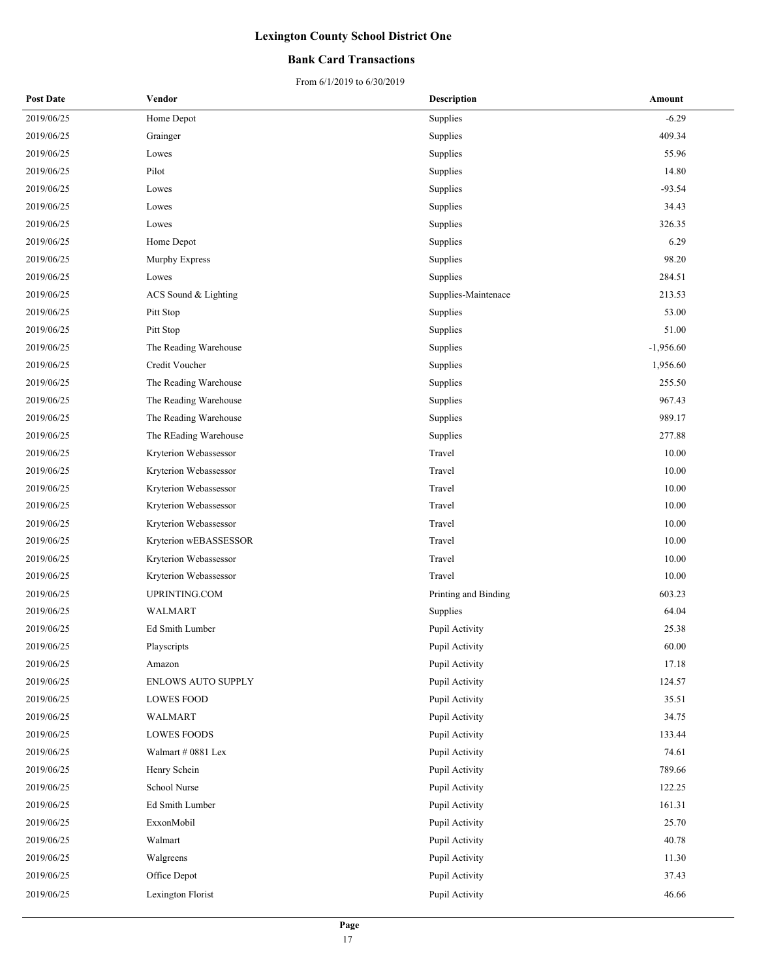### **Bank Card Transactions**

| <b>Post Date</b> | Vendor                    | <b>Description</b>   | Amount      |
|------------------|---------------------------|----------------------|-------------|
| 2019/06/25       | Home Depot                | Supplies             | $-6.29$     |
| 2019/06/25       | Grainger                  | Supplies             | 409.34      |
| 2019/06/25       | Lowes                     | Supplies             | 55.96       |
| 2019/06/25       | Pilot                     | Supplies             | 14.80       |
| 2019/06/25       | Lowes                     | Supplies             | $-93.54$    |
| 2019/06/25       | Lowes                     | Supplies             | 34.43       |
| 2019/06/25       | Lowes                     | Supplies             | 326.35      |
| 2019/06/25       | Home Depot                | Supplies             | 6.29        |
| 2019/06/25       | Murphy Express            | Supplies             | 98.20       |
| 2019/06/25       | Lowes                     | Supplies             | 284.51      |
| 2019/06/25       | ACS Sound & Lighting      | Supplies-Maintenace  | 213.53      |
| 2019/06/25       | Pitt Stop                 | Supplies             | 53.00       |
| 2019/06/25       | Pitt Stop                 | Supplies             | 51.00       |
| 2019/06/25       | The Reading Warehouse     | Supplies             | $-1,956.60$ |
| 2019/06/25       | Credit Voucher            | Supplies             | 1,956.60    |
| 2019/06/25       | The Reading Warehouse     | Supplies             | 255.50      |
| 2019/06/25       | The Reading Warehouse     | Supplies             | 967.43      |
| 2019/06/25       | The Reading Warehouse     | Supplies             | 989.17      |
| 2019/06/25       | The REading Warehouse     | Supplies             | 277.88      |
| 2019/06/25       | Kryterion Webassessor     | Travel               | 10.00       |
| 2019/06/25       | Kryterion Webassessor     | Travel               | 10.00       |
| 2019/06/25       | Kryterion Webassessor     | Travel               | 10.00       |
| 2019/06/25       | Kryterion Webassessor     | Travel               | 10.00       |
| 2019/06/25       | Kryterion Webassessor     | Travel               | 10.00       |
| 2019/06/25       | Kryterion wEBASSESSOR     | Travel               | 10.00       |
| 2019/06/25       | Kryterion Webassessor     | Travel               | 10.00       |
| 2019/06/25       | Kryterion Webassessor     | Travel               | 10.00       |
| 2019/06/25       | UPRINTING.COM             | Printing and Binding | 603.23      |
| 2019/06/25       | WALMART                   | Supplies             | 64.04       |
| 2019/06/25       | Ed Smith Lumber           | Pupil Activity       | 25.38       |
| 2019/06/25       | Playscripts               | Pupil Activity       | 60.00       |
| 2019/06/25       | Amazon                    | Pupil Activity       | 17.18       |
| 2019/06/25       | <b>ENLOWS AUTO SUPPLY</b> | Pupil Activity       | 124.57      |
| 2019/06/25       | <b>LOWES FOOD</b>         | Pupil Activity       | 35.51       |
| 2019/06/25       | WALMART                   | Pupil Activity       | 34.75       |
| 2019/06/25       | <b>LOWES FOODS</b>        | Pupil Activity       | 133.44      |
| 2019/06/25       | Walmart # 0881 Lex        | Pupil Activity       | 74.61       |
| 2019/06/25       | Henry Schein              | Pupil Activity       | 789.66      |
| 2019/06/25       | School Nurse              | Pupil Activity       | 122.25      |
| 2019/06/25       | Ed Smith Lumber           | Pupil Activity       | 161.31      |
| 2019/06/25       | ExxonMobil                | Pupil Activity       | 25.70       |
| 2019/06/25       | Walmart                   | Pupil Activity       | 40.78       |
| 2019/06/25       | Walgreens                 | Pupil Activity       | 11.30       |
| 2019/06/25       | Office Depot              | Pupil Activity       | 37.43       |
| 2019/06/25       | Lexington Florist         | Pupil Activity       | 46.66       |
|                  |                           |                      |             |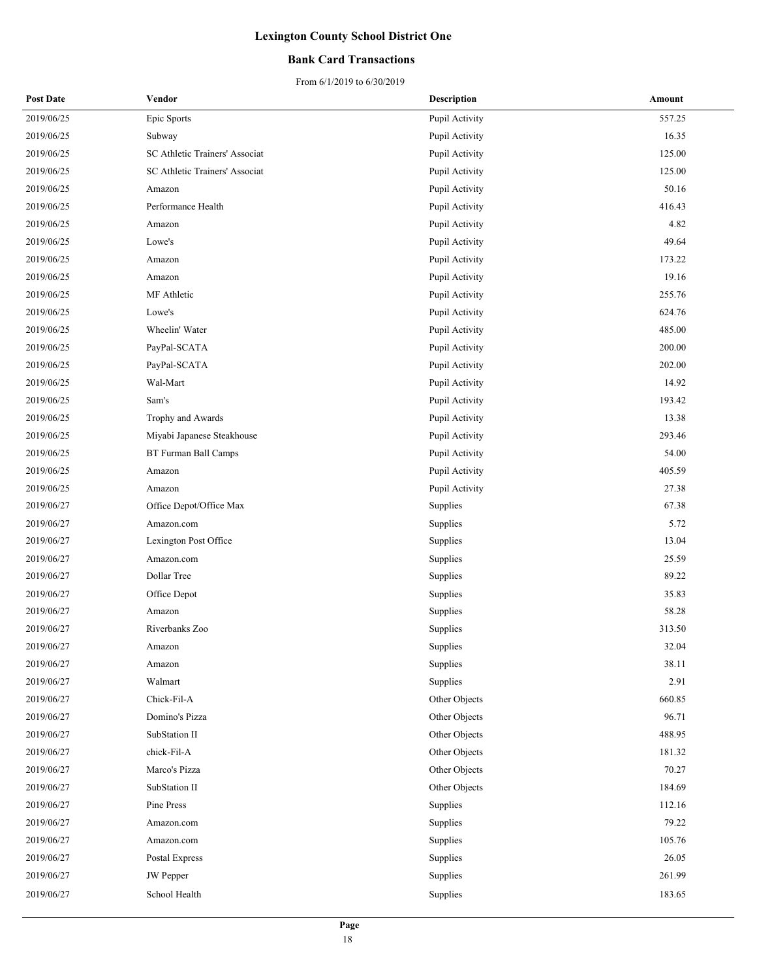### **Bank Card Transactions**

| <b>Post Date</b> | Vendor                         | <b>Description</b> | Amount |
|------------------|--------------------------------|--------------------|--------|
| 2019/06/25       | Epic Sports                    | Pupil Activity     | 557.25 |
| 2019/06/25       | Subway                         | Pupil Activity     | 16.35  |
| 2019/06/25       | SC Athletic Trainers' Associat | Pupil Activity     | 125.00 |
| 2019/06/25       | SC Athletic Trainers' Associat | Pupil Activity     | 125.00 |
| 2019/06/25       | Amazon                         | Pupil Activity     | 50.16  |
| 2019/06/25       | Performance Health             | Pupil Activity     | 416.43 |
| 2019/06/25       | Amazon                         | Pupil Activity     | 4.82   |
| 2019/06/25       | Lowe's                         | Pupil Activity     | 49.64  |
| 2019/06/25       | Amazon                         | Pupil Activity     | 173.22 |
| 2019/06/25       | Amazon                         | Pupil Activity     | 19.16  |
| 2019/06/25       | MF Athletic                    | Pupil Activity     | 255.76 |
| 2019/06/25       | Lowe's                         | Pupil Activity     | 624.76 |
| 2019/06/25       | Wheelin' Water                 | Pupil Activity     | 485.00 |
| 2019/06/25       | PayPal-SCATA                   | Pupil Activity     | 200.00 |
| 2019/06/25       | PayPal-SCATA                   | Pupil Activity     | 202.00 |
| 2019/06/25       | Wal-Mart                       | Pupil Activity     | 14.92  |
| 2019/06/25       | Sam's                          | Pupil Activity     | 193.42 |
| 2019/06/25       | Trophy and Awards              | Pupil Activity     | 13.38  |
| 2019/06/25       | Miyabi Japanese Steakhouse     | Pupil Activity     | 293.46 |
| 2019/06/25       | BT Furman Ball Camps           | Pupil Activity     | 54.00  |
| 2019/06/25       | Amazon                         | Pupil Activity     | 405.59 |
| 2019/06/25       | Amazon                         | Pupil Activity     | 27.38  |
| 2019/06/27       | Office Depot/Office Max        | Supplies           | 67.38  |
| 2019/06/27       | Amazon.com                     | Supplies           | 5.72   |
| 2019/06/27       | Lexington Post Office          | Supplies           | 13.04  |
| 2019/06/27       | Amazon.com                     | Supplies           | 25.59  |
| 2019/06/27       | Dollar Tree                    | Supplies           | 89.22  |
| 2019/06/27       | Office Depot                   | Supplies           | 35.83  |
| 2019/06/27       | Amazon                         | Supplies           | 58.28  |
| 2019/06/27       | Riverbanks Zoo                 | Supplies           | 313.50 |
| 2019/06/27       | Amazon                         | Supplies           | 32.04  |
| 2019/06/27       | Amazon                         | Supplies           | 38.11  |
| 2019/06/27       | Walmart                        | Supplies           | 2.91   |
| 2019/06/27       | Chick-Fil-A                    | Other Objects      | 660.85 |
| 2019/06/27       | Domino's Pizza                 | Other Objects      | 96.71  |
| 2019/06/27       | SubStation II                  | Other Objects      | 488.95 |
| 2019/06/27       | chick-Fil-A                    | Other Objects      | 181.32 |
| 2019/06/27       | Marco's Pizza                  | Other Objects      | 70.27  |
| 2019/06/27       | SubStation II                  | Other Objects      | 184.69 |
| 2019/06/27       | Pine Press                     | Supplies           | 112.16 |
| 2019/06/27       | Amazon.com                     | Supplies           | 79.22  |
| 2019/06/27       | Amazon.com                     | Supplies           | 105.76 |
| 2019/06/27       | Postal Express                 | Supplies           | 26.05  |
| 2019/06/27       | <b>JW</b> Pepper               | Supplies           | 261.99 |
| 2019/06/27       | School Health                  | Supplies           | 183.65 |
|                  |                                |                    |        |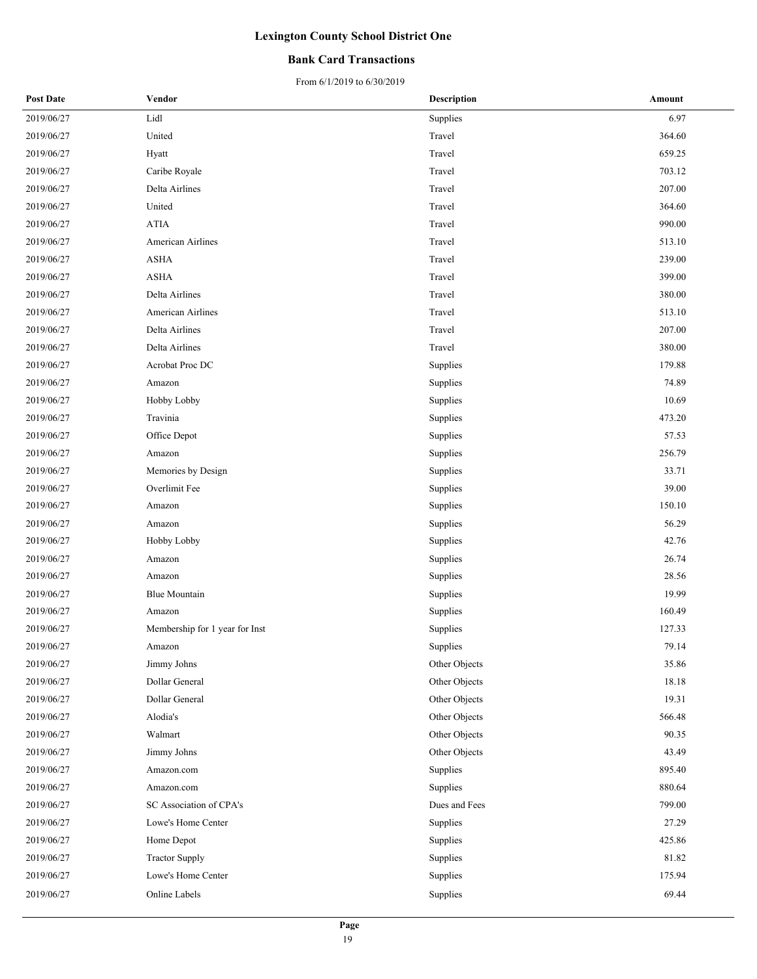### **Bank Card Transactions**

| <b>Post Date</b> | Vendor                         | <b>Description</b> | Amount |
|------------------|--------------------------------|--------------------|--------|
| 2019/06/27       | Lidl                           | Supplies           | 6.97   |
| 2019/06/27       | United                         | Travel             | 364.60 |
| 2019/06/27       | Hyatt                          | Travel             | 659.25 |
| 2019/06/27       | Caribe Royale                  | Travel             | 703.12 |
| 2019/06/27       | Delta Airlines                 | Travel             | 207.00 |
| 2019/06/27       | United                         | Travel             | 364.60 |
| 2019/06/27       | $\operatorname{ATIA}$          | Travel             | 990.00 |
| 2019/06/27       | American Airlines              | Travel             | 513.10 |
| 2019/06/27       | <b>ASHA</b>                    | Travel             | 239.00 |
| 2019/06/27       | <b>ASHA</b>                    | Travel             | 399.00 |
| 2019/06/27       | Delta Airlines                 | Travel             | 380.00 |
| 2019/06/27       | American Airlines              | Travel             | 513.10 |
| 2019/06/27       | Delta Airlines                 | Travel             | 207.00 |
| 2019/06/27       | Delta Airlines                 | Travel             | 380.00 |
| 2019/06/27       | Acrobat Proc DC                | Supplies           | 179.88 |
| 2019/06/27       | Amazon                         | Supplies           | 74.89  |
| 2019/06/27       | Hobby Lobby                    | Supplies           | 10.69  |
| 2019/06/27       | Travinia                       | Supplies           | 473.20 |
| 2019/06/27       | Office Depot                   | Supplies           | 57.53  |
| 2019/06/27       | Amazon                         | Supplies           | 256.79 |
| 2019/06/27       | Memories by Design             | Supplies           | 33.71  |
| 2019/06/27       | Overlimit Fee                  | Supplies           | 39.00  |
| 2019/06/27       | Amazon                         | Supplies           | 150.10 |
| 2019/06/27       | Amazon                         | Supplies           | 56.29  |
| 2019/06/27       | Hobby Lobby                    | Supplies           | 42.76  |
| 2019/06/27       | Amazon                         | Supplies           | 26.74  |
| 2019/06/27       | Amazon                         | Supplies           | 28.56  |
| 2019/06/27       | <b>Blue Mountain</b>           | Supplies           | 19.99  |
| 2019/06/27       | Amazon                         | Supplies           | 160.49 |
| 2019/06/27       | Membership for 1 year for Inst | Supplies           | 127.33 |
| 2019/06/27       | Amazon                         | Supplies           | 79.14  |
| 2019/06/27       | Jimmy Johns                    | Other Objects      | 35.86  |
| 2019/06/27       | Dollar General                 | Other Objects      | 18.18  |
| 2019/06/27       | Dollar General                 | Other Objects      | 19.31  |
| 2019/06/27       | Alodia's                       | Other Objects      | 566.48 |
| 2019/06/27       | Walmart                        | Other Objects      | 90.35  |
| 2019/06/27       | Jimmy Johns                    | Other Objects      | 43.49  |
| 2019/06/27       | Amazon.com                     | Supplies           | 895.40 |
| 2019/06/27       | Amazon.com                     | Supplies           | 880.64 |
| 2019/06/27       | SC Association of CPA's        | Dues and Fees      | 799.00 |
| 2019/06/27       | Lowe's Home Center             | Supplies           | 27.29  |
| 2019/06/27       | Home Depot                     | Supplies           | 425.86 |
| 2019/06/27       | <b>Tractor Supply</b>          | Supplies           | 81.82  |
| 2019/06/27       | Lowe's Home Center             | Supplies           | 175.94 |
| 2019/06/27       | Online Labels                  | Supplies           | 69.44  |
|                  |                                |                    |        |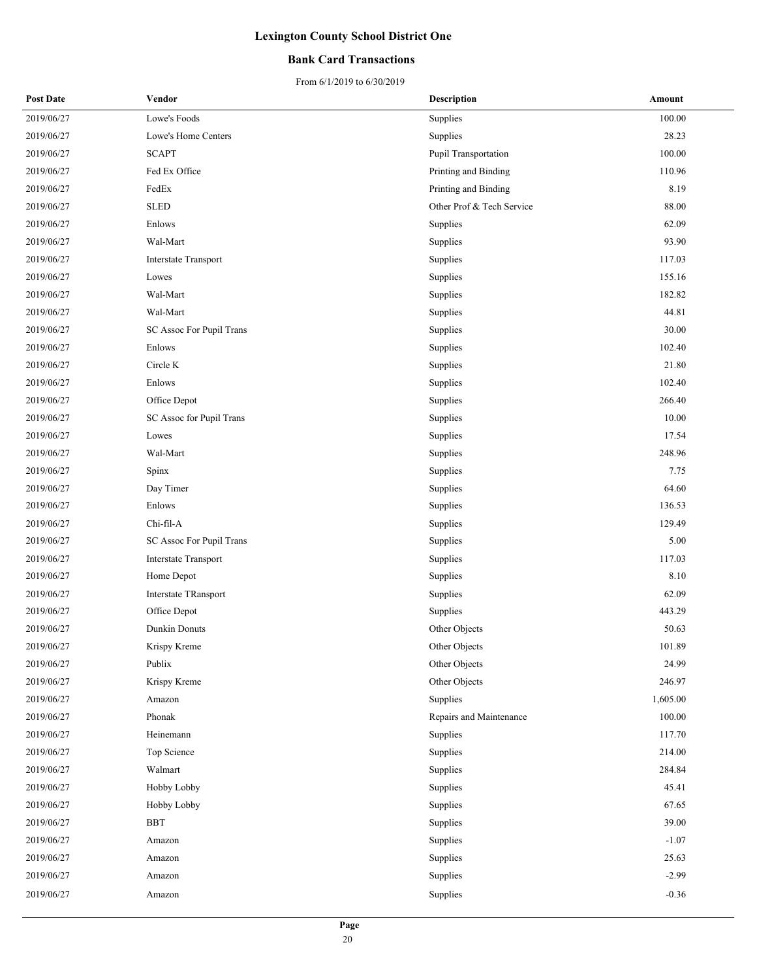### **Bank Card Transactions**

#### From 6/1/2019 to 6/30/2019

| <b>Post Date</b> | Vendor                      | <b>Description</b>        | Amount   |
|------------------|-----------------------------|---------------------------|----------|
| 2019/06/27       | Lowe's Foods                | Supplies                  | 100.00   |
| 2019/06/27       | Lowe's Home Centers         | Supplies                  | 28.23    |
| 2019/06/27       | <b>SCAPT</b>                | Pupil Transportation      | 100.00   |
| 2019/06/27       | Fed Ex Office               | Printing and Binding      | 110.96   |
| 2019/06/27       | FedEx                       | Printing and Binding      | 8.19     |
| 2019/06/27       | <b>SLED</b>                 | Other Prof & Tech Service | 88.00    |
| 2019/06/27       | Enlows                      | Supplies                  | 62.09    |
| 2019/06/27       | Wal-Mart                    | Supplies                  | 93.90    |
| 2019/06/27       | <b>Interstate Transport</b> | Supplies                  | 117.03   |
| 2019/06/27       | Lowes                       | Supplies                  | 155.16   |
| 2019/06/27       | Wal-Mart                    | Supplies                  | 182.82   |
| 2019/06/27       | Wal-Mart                    | Supplies                  | 44.81    |
| 2019/06/27       | SC Assoc For Pupil Trans    | Supplies                  | 30.00    |
| 2019/06/27       | Enlows                      | Supplies                  | 102.40   |
| 2019/06/27       | Circle K                    | Supplies                  | 21.80    |
| 2019/06/27       | Enlows                      | Supplies                  | 102.40   |
| 2019/06/27       | Office Depot                | Supplies                  | 266.40   |
| 2019/06/27       | SC Assoc for Pupil Trans    | Supplies                  | 10.00    |
| 2019/06/27       | Lowes                       | Supplies                  | 17.54    |
| 2019/06/27       | Wal-Mart                    | Supplies                  | 248.96   |
| 2019/06/27       | Spinx                       | Supplies                  | 7.75     |
| 2019/06/27       | Day Timer                   | Supplies                  | 64.60    |
| 2019/06/27       | Enlows                      | Supplies                  | 136.53   |
| 2019/06/27       | Chi-fil-A                   | Supplies                  | 129.49   |
| 2019/06/27       | SC Assoc For Pupil Trans    | Supplies                  | 5.00     |
| 2019/06/27       | <b>Interstate Transport</b> | Supplies                  | 117.03   |
| 2019/06/27       | Home Depot                  | Supplies                  | 8.10     |
| 2019/06/27       | <b>Interstate TRansport</b> | Supplies                  | 62.09    |
| 2019/06/27       | Office Depot                | Supplies                  | 443.29   |
| 2019/06/27       | Dunkin Donuts               | Other Objects             | 50.63    |
| 2019/06/27       | Krispy Kreme                | Other Objects             | 101.89   |
| 2019/06/27       | Publix                      | Other Objects             | 24.99    |
| 2019/06/27       | Krispy Kreme                | Other Objects             | 246.97   |
| 2019/06/27       | Amazon                      | Supplies                  | 1,605.00 |
| 2019/06/27       | Phonak                      | Repairs and Maintenance   | 100.00   |
| 2019/06/27       | Heinemann                   | Supplies                  | 117.70   |
| 2019/06/27       | Top Science                 | Supplies                  | 214.00   |
| 2019/06/27       | Walmart                     | Supplies                  | 284.84   |
| 2019/06/27       | Hobby Lobby                 | Supplies                  | 45.41    |
| 2019/06/27       | Hobby Lobby                 | Supplies                  | 67.65    |
| 2019/06/27       | <b>BBT</b>                  | Supplies                  | 39.00    |
| 2019/06/27       | Amazon                      | Supplies                  | $-1.07$  |
| 2019/06/27       | Amazon                      | Supplies                  | 25.63    |
| 2019/06/27       | Amazon                      | Supplies                  | $-2.99$  |
| 2019/06/27       | Amazon                      | Supplies                  | $-0.36$  |
|                  |                             |                           |          |

20